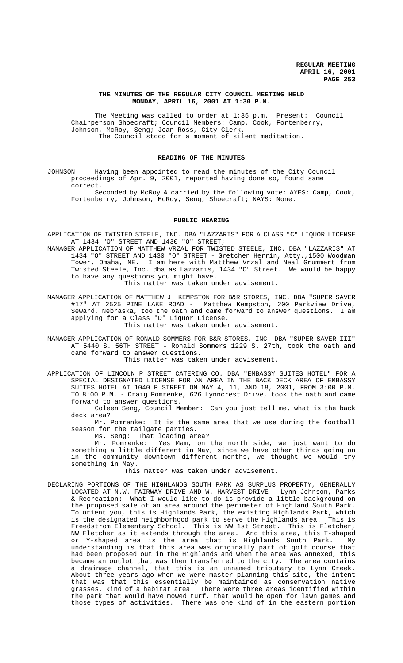#### **THE MINUTES OF THE REGULAR CITY COUNCIL MEETING HELD MONDAY, APRIL 16, 2001 AT 1:30 P.M.**

The Meeting was called to order at 1:35 p.m. Present: Council Chairperson Shoecraft; Council Members: Camp, Cook, Fortenberry, Johnson, McRoy, Seng; Joan Ross, City Clerk. The Council stood for a moment of silent meditation.

## **READING OF THE MINUTES**

JOHNSON Having been appointed to read the minutes of the City Council proceedings of Apr. 9, 2001, reported having done so, found same correct.

Seconded by McRoy & carried by the following vote: AYES: Camp, Cook, Fortenberry, Johnson, McRoy, Seng, Shoecraft; NAYS: None.

#### **PUBLIC HEARING**

APPLICATION OF TWISTED STEELE, INC. DBA "LAZZARIS" FOR A CLASS "C" LIQUOR LICENSE AT 1434 "O" STREET AND 1430 "O" STREET;

MANAGER APPLICATION OF MATTHEW VRZAL FOR TWISTED STEELE, INC. DBA "LAZZARIS" AT 1434 "O" STREET AND 1430 "O" STREET - Gretchen Herrin, Atty.,1500 Woodman Tower, Omaha, NE. I am here with Matthew Vrzal and Neal Grummert from Twisted Steele, Inc. dba as Lazzaris, 1434 "O" Street. We would be happy to have any questions you might have.

This matter was taken under advisement.

- MANAGER APPLICATION OF MATTHEW J. KEMPSTON FOR B&R STORES, INC. DBA "SUPER SAVER #17" AT 2525 PINE LAKE ROAD - Matthew Kempston, 200 Parkview Drive, Seward, Nebraska, too the oath and came forward to answer questions. I am applying for a Class "D" Liquor License. This matter was taken under advisement.
	-
- MANAGER APPLICATION OF RONALD SOMMERS FOR B&R STORES, INC. DBA "SUPER SAVER III" AT 5440 S. 56TH STREET - Ronald Sommers 1229 S. 27th, took the oath and came forward to answer questions.

This matter was taken under advisement.

APPLICATION OF LINCOLN P STREET CATERING CO. DBA "EMBASSY SUITES HOTEL" FOR A SPECIAL DESIGNATED LICENSE FOR AN AREA IN THE BACK DECK AREA OF EMBASSY SUITES HOTEL AT 1040 P STREET ON MAY 4, 11, AND 18, 2001, FROM 3:00 P.M. TO 8:00 P.M. - Craig Pomrenke, 626 Lynncrest Drive, took the oath and came forward to answer questions.

Coleen Seng, Council Member: Can you just tell me, what is the back deck area?

Mr. Pomrenke: It is the same area that we use during the football season for the tailgate parties.

Ms. Seng: That loading area?

Mr. Pomrenke: Yes Mam, on the north side, we just want to do something a little different in May, since we have other things going on in the community downtown different months, we thought we would try something in May.

This matter was taken under advisement.

DECLARING PORTIONS OF THE HIGHLANDS SOUTH PARK AS SURPLUS PROPERTY, GENERALLY LOCATED AT N.W. FAIRWAY DRIVE AND W. HARVEST DRIVE - Lynn Johnson, Parks & Recreation: What I would like to do is provide a little background on the proposed sale of an area around the perimeter of Highland South Park. To orient you, this is Highlands Park, the existing Highlands Park, which is the designated neighborhood park to serve the Highlands area. This is Freedstrom Elementary School. This is NW 1st Street. This is Fletcher, NW Fletcher as it extends through the area. And this area, this T-shaped or Y-shaped area is the area that is Highlands South Park. My understanding is that this area was originally part of golf course that had been proposed out in the Highlands and when the area was annexed, this became an outlot that was then transferred to the city. The area contains a drainage channel, that this is an unnamed tributary to Lynn Creek. About three years ago when we were master planning this site, the intent that was that this essentially be maintained as conservation native grasses, kind of a habitat area. There were three areas identified within the park that would have mowed turf, that would be open for lawn games and those types of activities. There was one kind of in the eastern portion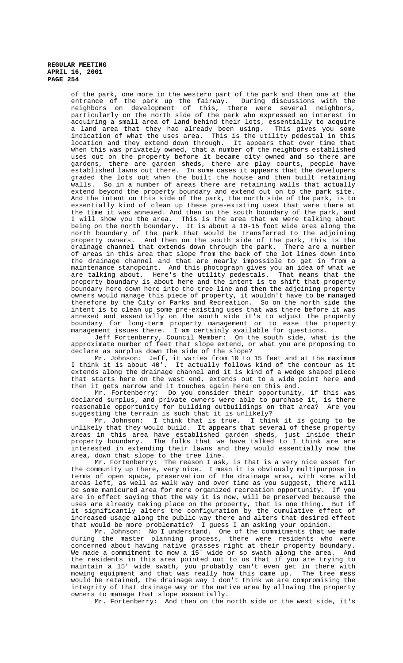> of the park, one more in the western part of the park and then one at the<br>entrance of the park up the fairway. During discussions with the entrance of the park up the fairway. neighbors on development of this, there were several neighbors, particularly on the north side of the park who expressed an interest in acquiring a small area of land behind their lots, essentially to acquire a land area that they had already been using. This gives you some indication of what the uses area. This is the utility pedestal in this location and they extend down through. It appears that over time that when this was privately owned, that a number of the neighbors established uses out on the property before it became city owned and so there are gardens, there are garden sheds, there are play courts, people have established lawns out there. In some cases it appears that the developers graded the lots out when the built the house and then built retaining<br>walls. So in a number of areas there are retaining walls that actually So in a number of areas there are retaining walls that actually extend beyond the property boundary and extend out on to the park site. And the intent on this side of the park, the north side of the park, is to essentially kind of clean up these pre-existing uses that were there at the time it was annexed. And then on the south boundary of the park, and I will show you the area. This is the area that we were talking about being on the north boundary. It is about a 10-15 foot wide area along the north boundary of the park that would be transferred to the adjoining property owners. And then on the south side of the park, this is the drainage channel that extends down through the park. There are a number of areas in this area that slope from the back of the lot lines down into the drainage channel and that are nearly impossible to get in from a maintenance standpoint. And this photograph gives you an idea of what we are talking about. Here's the utility pedestals. That means that the property boundary is about here and the intent is to shift that property boundary here down here into the tree line and then the adjoining property owners would manage this piece of property, it wouldn't have to be managed therefore by the City or Parks and Recreation. So on the north side the intent is to clean up some pre-existing uses that was there before it was annexed and essentially on the south side it's to adjust the property boundary for long-term property management or to ease the property management issues there. I am certainly available for questions.

> Jeff Fortenberry, Council Member: On the south side, what is the approximate number of feet that slope extend, or what you are proposing to declare as surplus down the side of the slope?

> Mr. Johnson: Jeff, it varies from 10 to 15 feet and at the maximum I think it is about 40'. It actually follows kind of the contour as it extends along the drainage channel and it is kind of a wedge shaped piece that starts here on the west end, extends out to a wide point here and then it gets narrow and it touches again here on this end.

> Mr. Fortenberry: Do you consider their opportunity, if this was declared surplus, and private owners were able to purchase it, is there reasonable opportunity for building outbuildings on that area? Are you suggesting the terrain is such that it is unlikely?

> Mr. Johnson: I think that is true. I think it is going to be unlikely that they would build. It appears that several of these property areas in this area have established garden sheds, just inside their property boundary. The folks that we have talked to I think are are interested in extending their lawns and they would essentially mow the area, down that slope to the tree line.

> Mr. Fortenberry: The reason I ask, is that is a very nice asset for the community up there, very nice. I mean it is obviously multipurpose in terms of open space, preservation of the drainage area, with some wild areas left, as well as walk way and over time as you suggest, there will be some manicured area for more organized recreation opportunity. If you are in effect saying that the way it is now, will be preserved because the uses are already taking place on the property, that is one thing. But if it significantly alters the configuration by the cumulative effect of increased usage along the public way there and alters that desired effect that would be more problematic? I guess I am asking your opinion.

> Mr. Johnson: No I understand. One of the commitments that we made during the master planning process, there were residents who were concerned about having native grasses right at their property boundary. We made a commitment to mow a 15' wide or so swath along the area. And the residents in this area pointed out to us that if you are trying to maintain a 15' wide swath, you probably can't even get in there with mowing equipment and that was really how this came up. The tree mess would be retained, the drainage way I don't think we are compromising the integrity of that drainage way or the native area by allowing the property owners to manage that slope essentially.

Mr. Fortenberry: And then on the north side or the west side, it's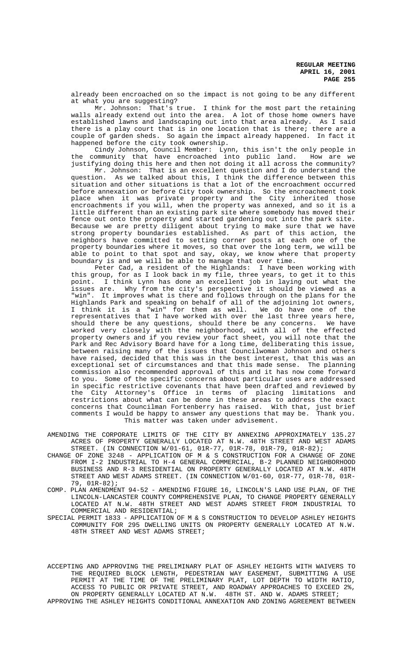already been encroached on so the impact is not going to be any different at what you are suggesting?

Mr. Johnson: That's true. I think for the most part the retaining walls already extend out into the area. A lot of those home owners have established lawns and landscaping out into that area already. As I said there is a play court that is in one location that is there; there are a couple of garden sheds. So again the impact already happened. In fact it happened before the city took ownership.

Cindy Johnson, Council Member: Lynn, this isn't the only people in the community that have encroached into public land. How are we justifying doing this here and then not doing it all across the community?

Mr. Johnson: That is an excellent question and I do understand the question. As we talked about this, I think the difference between this situation and other situations is that a lot of the encroachment occurred before annexation or before City took ownership. So the encroachment took place when it was private property and the City inherited those encroachments if you will, when the property was annexed, and so it is a little different than an existing park site where somebody has moved their fence out onto the property and started gardening out into the park site. Because we are pretty diligent about trying to make sure that we have strong property boundaries established. As part of this action, the neighbors have committed to setting corner posts at each one of the property boundaries where it moves, so that over the long term, we will be able to point to that spot and say, okay, we know where that property boundary is and we will be able to manage that over time.

Peter Cad, a resident of the Highlands: I have been working with this group, for as I look back in my file, three years, to get it to this point. I think Lynn has done an excellent job in laying out what the issues are. Why from the city's perspective it should be viewed as a "win". It improves what is there and follows through on the plans for the Highlands Park and speaking on behalf of all of the adjoining lot owners, I think it is a "win" for them as well. We do have one of the representatives that I have worked with over the last three years here, should there be any questions, should there be any concerns. We have worked very closely with the neighborhood, with all of the effected property owners and if you review your fact sheet, you will note that the Park and Rec Advisory Board have for a long time, deliberating this issue, between raising many of the issues that Councilwoman Johnson and others have raised, decided that this was in the best interest, that this was an exceptional set of circumstances and that this made sense. The planning commission also recommended approval of this and it has now come forward to you. Some of the specific concerns about particular uses are addressed in specific restrictive covenants that have been drafted and reviewed by the City Attorney's Office in terms of placing limitations and restrictions about what can be done in these areas to address the exact concerns that Councilman Fortenberry has raised. With that, just brief comments I would be happy to answer any questions that may be. Thank you. This matter was taken under advisement.

- AMENDING THE CORPORATE LIMITS OF THE CITY BY ANNEXING APPROXIMATELY 135.27 ACRES OF PROPERTY GENERALLY LOCATED AT N.W. 48TH STREET AND WEST ADAMS STREET. (IN CONNECTION W/01-61, 01R-77, 01R-78, 01R-79, 01R-82);
- CHANGE OF ZONE 3248 APPLICATION OF M & S CONSTRUCTION FOR A CHANGE OF ZONE FROM I-2 INDUSTRIAL TO H-4 GENERAL COMMERCIAL, B-2 PLANNED NEIGHBORHOOD BUSINESS AND R-3 RESIDENTIAL ON PROPERTY GENERALLY LOCATED AT N.W. 48TH STREET AND WEST ADAMS STREET. (IN CONNECTION W/01-60, 01R-77, 01R-78, 01R-79, 01R-82);
- COMP. PLAN AMENDMENT 94-52 AMENDING FIGURE 16, LINCOLN'S LAND USE PLAN, OF THE LINCOLN-LANCASTER COUNTY COMPREHENSIVE PLAN, TO CHANGE PROPERTY GENERALLY LOCATED AT N.W. 48TH STREET AND WEST ADAMS STREET FROM INDUSTRIAL TO COMMERCIAL AND RESIDENTIAL;
- SPECIAL PERMIT 1833 APPLICATION OF M & S CONSTRUCTION TO DEVELOP ASHLEY HEIGHTS COMMUNITY FOR 295 DWELLING UNITS ON PROPERTY GENERALLY LOCATED AT N.W. 48TH STREET AND WEST ADAMS STREET;

ACCEPTING AND APPROVING THE PRELIMINARY PLAT OF ASHLEY HEIGHTS WITH WAIVERS TO THE REQUIRED BLOCK LENGTH, PEDESTRIAN WAY EASEMENT, SUBMITTING A USE PERMIT AT THE TIME OF THE PRELIMINARY PLAT, LOT DEPTH TO WIDTH RATIO, ACCESS TO PUBLIC OR PRIVATE STREET, AND ROADWAY APPROACHES TO EXCEED 2%, ON PROPERTY GENERALLY LOCATED AT N.W. 48TH ST. AND W. ADAMS STREET; APPROVING THE ASHLEY HEIGHTS CONDITIONAL ANNEXATION AND ZONING AGREEMENT BETWEEN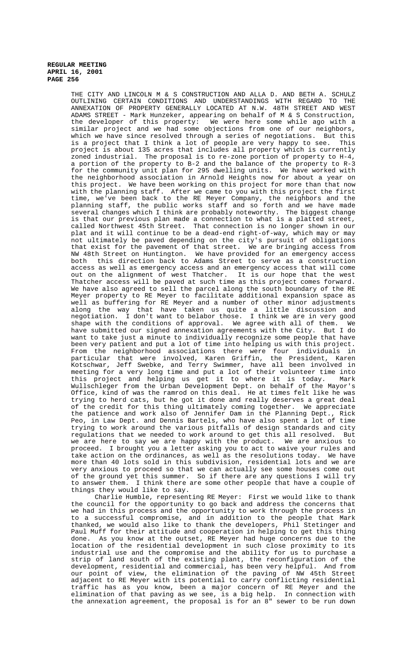THE CITY AND LINCOLN M & S CONSTRUCTION AND ALLA D. AND BETH A. SCHULZ OUTLINING CERTAIN CONDITIONS AND UNDERSTANDINGS WITH REGARD TO THE ANNEXATION OF PROPERTY GENERALLY LOCATED AT N.W. 48TH STREET AND WEST ADAMS STREET - Mark Hunzeker, appearing on behalf of M & S Construction, the developer of this property: We were here some while ago with a similar project and we had some objections from one of our neighbors, which we have since resolved through a series of negotiations. But this is a project that I think a lot of people are very happy to see. This project is about 135 acres that includes all property which is currently zoned industrial. The proposal is to re-zone portion of property to H-4, a portion of the property to B-2 and the balance of the property to R-3 for the community unit plan for 295 dwelling units. We have worked with the neighborhood association in Arnold Heights now for about a year on this project. We have been working on this project for more than that now with the planning staff. After we came to you with this project the first time, we've been back to the RE Meyer Company, the neighbors and the planning staff, the public works staff and so forth and we have made several changes which I think are probably noteworthy. The biggest change is that our previous plan made a connection to what is a platted street, called Northwest 45th Street. That connection is no longer shown in our plat and it will continue to be a dead-end right-of-way, which may or may not ultimately be paved depending on the city's pursuit of obligations that exist for the pavement of that street. We are bringing access from NW 48th Street on Huntington. We have provided for an emergency access both this direction back to Adams Street to serve as a construction access as well as emergency access and an emergency access that will come out on the alignment of west Thatcher. It is our hope that the west Thatcher access will be paved at such time as this project comes forward. We have also agreed to sell the parcel along the south boundary of the RE Meyer property to RE Meyer to facilitate additional expansion space as well as buffering for RE Meyer and a number of other minor adjustments along the way that have taken us quite a little discussion and negotiation. I don't want to belabor those. I think we are in very good shape with the conditions of approval. We agree with all of them. We have submitted our signed annexation agreements with the City. But I do want to take just a minute to individually recognize some people that have been very patient and put a lot of time into helping us with this project. From the neighborhood associations there were four individuals in particular that were involved, Karen Griffin, the President, Karen Kotschwar, Jeff Swebke, and Terry Swimmer, have all been involved in meeting for a very long time and put a lot of their volunteer time into this project and helping us get it to where it is today. Mark Wullschleger from the Urban Development Dept. on behalf of the Mayor's Office, kind of was the ramrod on this deal. He at times felt like he was trying to herd cats, but he got it done and really deserves a great deal of the credit for this thing ultimately coming together. We appreciate the patience and work also of Jennifer Dam in the Planning Dept., Rick Peo, in Law Dept. and Dennis Bartels, who have also spent a lot of time trying to work around the various pitfalls of design standards and city regulations that we needed to work around to get this all resolved. But we are here to say we are happy with the product. We are anxious to proceed. I brought you a letter asking you to act to waive your rules and take action on the ordinances, as well as the resolutions today. We have more than 40 lots sold in this subdivision, residential lots and we are very anxious to proceed so that we can actually see some houses come out of the ground yet this summer. So if there are any questions I will try to answer them. I think there are some other people that have a couple of things they would like to say.

Charlie Humble, representing RE Meyer: First we would like to thank the council for the opportunity to go back and address the concerns that we had in this process and the opportunity to work through the process in to a successful compromise, and in addition to the people that Mark thanked, we would also like to thank the developers, Phil Stetinger and Paul Muff for their attitude and cooperation in helping to get this thing done. As you know at the outset, RE Meyer had huge concerns due to the location of the residential development in such close proximity to its industrial use and the compromise and the ability for us to purchase a strip of land south of the existing plant, the reconfiguration of the development, residential and commercial, has been very helpful. And from our point of view, the elimination of the paving of NW 45th Street adjacent to RE Meyer with its potential to carry conflicting residential traffic has as you know, been a major concern of RE Meyer and the elimination of that paving as we see, is a big help. In connection with the annexation agreement, the proposal is for an 8" sewer to be run down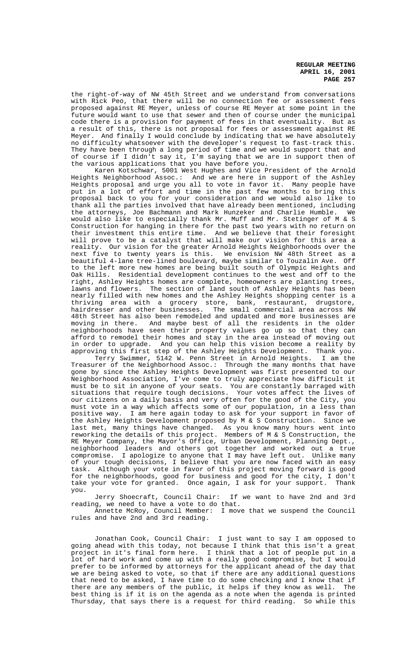the right-of-way of NW 45th Street and we understand from conversations with Rick Peo, that there will be no connection fee or assessment fees proposed against RE Meyer, unless of course RE Meyer at some point in the future would want to use that sewer and then of course under the municipal code there is a provision for payment of fees in that eventuality. But as a result of this, there is not proposal for fees or assessment against RE Meyer. And finally I would conclude by indicating that we have absolutely no difficulty whatsoever with the developer's request to fast-track this. They have been through a long period of time and we would support that and of course if I didn't say it, I'm saying that we are in support then of the various applications that you have before you.

Karen Kotschwar, 5001 West Hughes and Vice President of the Arnold Heights Neighborhood Assoc.: And we are here in support of the Ashley Heights proposal and urge you all to vote in favor it. Many people have put in a lot of effort and time in the past few months to bring this proposal back to you for your consideration and we would also like to thank all the parties involved that have already been mentioned, including the attorneys, Joe Bachmann and Mark Hunzeker and Charlie Humble. We would also like to especially thank Mr. Muff and Mr. Stetinger of M & S Construction for hanging in there for the past two years with no return on their investment this entire time. And we believe that their foresight will prove to be a catalyst that will make our vision for this area a reality. Our vision for the greater Arnold Heights Neighborhoods over the next five to twenty years is this. We envision NW 48th Street as a beautiful 4-lane tree-lined boulevard, maybe similar to Touzalin Ave. Off to the left more new homes are being built south of Olympic Heights and Oak Hills. Residential development continues to the west and off to the right, Ashley Heights homes are complete, homeowners are planting trees, lawns and flowers. The section of land south of Ashley Heights has been nearly filled with new homes and the Ashley Heights shopping center is a thriving area with a grocery store, bank, restaurant, drugstore, hairdresser and other businesses. The small commercial area across NW 48th Street has also been remodeled and updated and more businesses are moving in there. And maybe best of all the residents in the older neighborhoods have seen their property values go up so that they can afford to remodel their homes and stay in the area instead of moving out in order to upgrade. And you can help this vision become a reality by approving this first step of the Ashley Heights Development. Thank you.

Terry Swimmer, 5142 W. Penn Street in Arnold Heights. I am the Treasurer of the Neighborhood Assoc.: Through the many months that have gone by since the Ashley Heights Development was first presented to our Neighborhood Association, I've come to truly appreciate how difficult it must be to sit in anyone of your seats. You are constantly barraged with situations that require tough decisions. Your votes affect the lives of our citizens on a daily basis and very often for the good of the City, you must vote in a way which affects some of our population, in a less than positive way. I am here again today to ask for your support in favor of the Ashley Heights Development proposed by M & S Construction. Since we last met, many things have changed. As you know many hours went into reworking the details of this project. Members of M & S Construction, the RE Meyer Company, the Mayor's Office, Urban Development, Planning Dept., neighborhood leaders and others got together and worked out a true compromise. I apologize to anyone that I may have left out. Unlike many of your tough decisions, I believe that you are now faced with an easy task. Although your vote in favor of this project moving forward is good for the neighborhoods, good for business and good for the city, I don't take your vote for granted. Once again, I ask for your support. Thank you.

Jerry Shoecraft, Council Chair: If we want to have 2nd and 3rd reading, we need to have a vote to do that.

Annette McRoy, Council Member: I move that we suspend the Council rules and have 2nd and 3rd reading.

Jonathan Cook, Council Chair: I just want to say I am opposed to going ahead with this today, not because I think that this isn't a great project in it's final form here. I think that a lot of people put in a lot of hard work and come up with a really good compromise, but I would prefer to be informed by attorneys for the applicant ahead of the day that we are being asked to vote, so that if there are any additional questions that need to be asked, I have time to do some checking and I know that if there are any members of the public, it helps if they know as well. The best thing is if it is on the agenda as a note when the agenda is printed Thursday, that says there is a request for third reading. So while this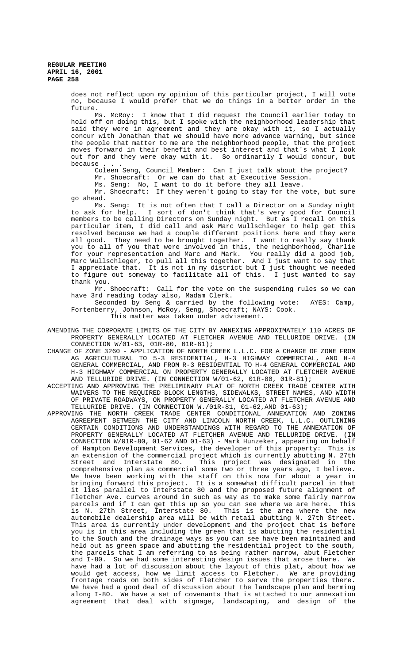does not reflect upon my opinion of this particular project, I will vote no, because I would prefer that we do things in a better order in the future.

Ms. McRoy: I know that I did request the Council earlier today to hold off on doing this, but I spoke with the neighborhood leadership that said they were in agreement and they are okay with it, so I actually concur with Jonathan that we should have more advance warning, but since the people that matter to me are the neighborhood people, that the project moves forward in their benefit and best interest and that's what I look out for and they were okay with it. So ordinarily I would concur, but because

Coleen Seng, Council Member: Can I just talk about the project?

Mr. Shoecraft: Or we can do that at Executive Session.

Ms. Seng: No, I want to do it before they all leave.

Mr. Shoecraft: If they weren't going to stay for the vote, but sure go ahead.

Ms. Seng: It is not often that I call a Director on a Sunday night to ask for help. I sort of don't think that's very good for Council members to be calling Directors on Sunday night. But as I recall on this particular item, I did call and ask Marc Wullschleger to help get this resolved because we had a couple different positions here and they were all good. They need to be brought together. I want to really say thank you to all of you that were involved in this, the neighborhood, Charlie for your representation and Marc and Mark. You really did a good job, Marc Wullschleger, to pull all this together. And I just want to say that I appreciate that. It is not in my district but I just thought we needed to figure out someway to facilitate all of this. I just wanted to say thank you.

Mr. Shoecraft: Call for the vote on the suspending rules so we can have 3rd reading today also, Madam Clerk.

Seconded by Seng & carried by the following vote: AYES: Camp, Fortenberry, Johnson, McRoy, Seng, Shoecraft; NAYS: Cook.

This matter was taken under advisement.

AMENDING THE CORPORATE LIMITS OF THE CITY BY ANNEXING APPROXIMATELY 110 ACRES OF PROPERTY GENERALLY LOCATED AT FLETCHER AVENUE AND TELLURIDE DRIVE. (IN CONNECTION W/01-63, 01R-80, 01R-81);

CHANGE OF ZONE 3260 - APPLICATION OF NORTH CREEK L.L.C. FOR A CHANGE OF ZONE FROM AG AGRICULTURAL TO 5-3 RESIDENTIAL, H-3 HIGHWAY COMMERCIAL, AND H-4 GENERAL COMMERCIAL, AND FROM R-3 RESIDENTIAL TO H-4 GENERAL COMMERCIAL AND H-3 HIGHWAY COMMERCIAL ON PROPERTY GENERALLY LOCATED AT FLETCHER AVENUE AND TELLURIDE DRIVE. (IN CONNECTION W/01-62, 01R-80, 01R-81);

ACCEPTING AND APPROVING THE PRELIMINARY PLAT OF NORTH CREEK TRADE CENTER WITH WAIVERS TO THE REQUIRED BLOCK LENGTHS, SIDEWALKS, STREET NAMES, AND WIDTH OF PRIVATE ROADWAYS, ON PROPERTY GENERALLY LOCATED AT FLETCHER AVENUE AND TELLURIDE DRIVE. (IN CONNECTION W./01R-81, 01-62,AND 01-63);

APPROVING THE NORTH CREEK TRADE CENTER CONDITIONAL ANNEXATION AND ZONING AGREEMENT BETWEEN THE CITY AND LINCOLN NORTH CREEK, L.L.C. OUTLINING CERTAIN CONDITIONS AND UNDERSTANDINGS WITH REGARD TO THE ANNEXATION OF PROPERTY GENERALLY LOCATED AT FLETCHER AVENUE AND TELLURIDE DRIVE. (IN CONNECTION W/01R-80, 01-62 AND 01-63) - Mark Hunzeker, appearing on behalf of Hampton Development Services, the developer of this property: This is an extension of the commercial project which is currently abutting N. 27th<br>Street and Interstate 80. This project was designated in the This project was designated in the comprehensive plan as commercial some two or three years ago, I believe. We have been working with the staff on this now for about a year in bringing forward this project. It is a somewhat difficult parcel in that it lies parallel to Interstate 80 and the proposed future alignment of Fletcher Ave. curves around in such as way as to make some fairly narrow parcels and if I can get this up so you can see where we are here. This<br>is N. 27th Street, Interstate 80. This is the area where the new is N. 27th Street, Interstate 80. automobile dealership area will be with retail abutting N. 27th Street. This area is currently under development and the project that is before you is in this area including the green that is abutting the residential to the South and the drainage ways as you can see have been maintained and held out as green space and abutting the residential project to the south, the parcels that I am referring to as being rather narrow, abut Fletcher and I-80. So we had some interesting design issues that arose there. We have had a lot of discussion about the layout of this plat, about how we would get access, how we limit access to Fletcher. We are providing frontage roads on both sides of Fletcher to serve the properties there. We have had a good deal of discussion about the landscape plan and berming along I-80. We have a set of covenants that is attached to our annexation agreement that deal with signage, landscaping, and design of the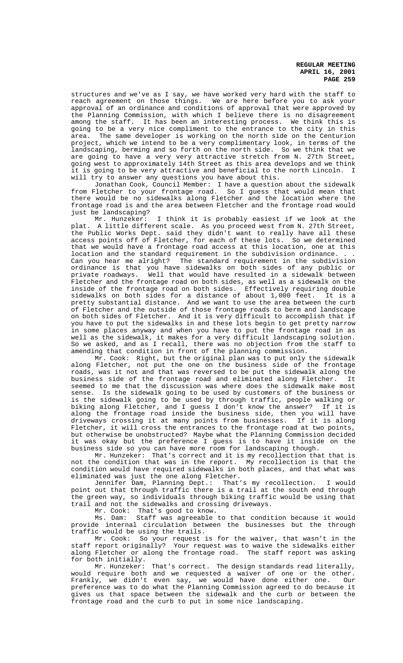structures and we've as I say, we have worked very hard with the staff to<br>reach agreement on those things. We are here before you to ask your We are here before you to ask your approval of an ordinance and conditions of approval that were approved by the Planning Commission, with which I believe there is no disagreement among the staff. It has been an interesting process. We think this is going to be a very nice compliment to the entrance to the city in this area. The same developer is working on the north side on the Centurion project, which we intend to be a very complimentary look, in terms of the landscaping, berming and so forth on the north side. So we think that we are going to have a very very attractive stretch from N. 27th Street, going west to approximately 14th Street as this area develops and we think it is going to be very attractive and beneficial to the north Lincoln. I will try to answer any questions you have about this.

Jonathan Cook, Council Member: I have a question about the sidewalk from Fletcher to your frontage road. So I guess that would mean that there would be no sidewalks along Fletcher and the location where the frontage road is and the area between Fletcher and the frontage road would

just be landscaping?<br>Mr. Hunzeker: I think it is probably easiest if we look at the plat. A little different scale. As you proceed west from N. 27th Street, the Public Works Dept. said they didn't want to really have all these access points off of Fletcher, for each of these lots. So we determined that we would have a frontage road access at this location, one at this location and the standard requirement in the subdivision ordinance.<br>Can you hear me alright? The standard requirement in the subdivi The standard requirement in the subdivision ordinance is that you have sidewalks on both sides of any public or private roadways. Well that would have resulted in a sidewalk between Fletcher and the frontage road on both sides, as well as a sidewalk on the inside of the frontage road on both sides. Effectively requiring double sidewalks on both sides for a distance of about 1,000 feet. It is a pretty substantial distance. And we want to use the area between the curb of Fletcher and the outside of those frontage roads to berm and landscape on both sides of Fletcher. And it is very difficult to accomplish that if you have to put the sidewalks in and these lots begin to get pretty narrow in some places anyway and when you have to put the frontage road in as well as the sidewalk, it makes for a very difficult landscaping solution. So we asked, and as I recall, there was no objection from the staff to amending that condition in front of the planning commission.

Mr. Cook: Right, but the original plan was to put only the sidewalk along Fletcher, not put the one on the business side of the frontage roads, was it not and that was reversed to be put the sidewalk along the business side of the frontage road and eliminated along Fletcher. It seemed to me that the discussion was where does the sidewalk make most sense. Is the sidewalk going to be used by customers of the business or is the sidewalk going to be used by through traffic, people walking or biking along Fletcher, and I guess I don't know the answer? If it is along the frontage road inside the business side, then you will have driveways crossing it at many points from businesses. If it is along Fletcher, it will cross the entrances to the frontage road at two points, but otherwise be unobstructed? Maybe what the Planning Commission decided it was okay but the preference I guess is to have it inside on the business side so you can have more room for landscaping though.

Mr. Hunzeker: That's correct and it is my recollection that that is not the condition that was in the report. My recollection is that the condition would have required sidewalks in both places, and that what was eliminated was just the one along Fletcher.

Jennifer Dam, Planning Dept.: That's my recollection. I would point out that through traffic there is a trail at the south end through the green way, so individuals through biking traffic would be using that trail and not the sidewalks and crossing driveways.

Mr. Cook: That's good to know.<br>Ms. Dam: Staff was agreeable

Staff was agreeable to that condition because it would provide internal circulation between the businesses but the through traffic would be using the trails.

Mr. Cook: So your request is for the waiver, that wasn't in the staff report originally? Your request was to waive the sidewalks either along Fletcher or along the frontage road. The staff report was asking for both initially.

Mr. Hunzeker: That's correct. The design standards read literally, would require both and we requested a waiver of one or the other. Frankly, we didn't even say, we would have done either one. Our preference was to do what the Planning Commission agreed to do because it gives us that space between the sidewalk and the curb or between the frontage road and the curb to put in some nice landscaping.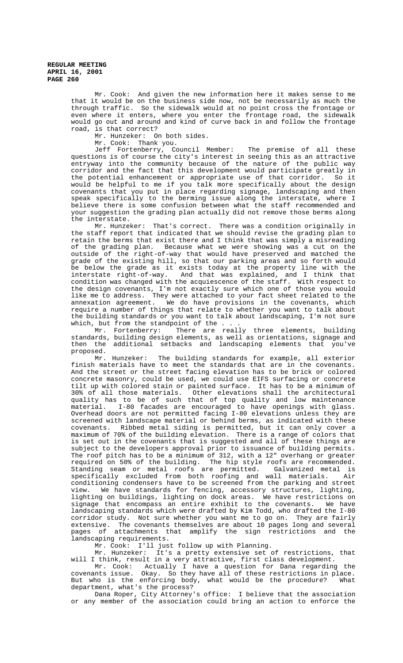Mr. Cook: And given the new information here it makes sense to me that it would be on the business side now, not be necessarily as much the through traffic. So the sidewalk would at no point cross the frontage or even where it enters, where you enter the frontage road, the sidewalk would go out and around and kind of curve back in and follow the frontage road, is that correct?

Mr. Hunzeker: On both sides.

Mr. Cook: Thank you.

Jeff Fortenberry, Council Member: The premise of all these questions is of course the city's interest in seeing this as an attractive entryway into the community because of the nature of the public way corridor and the fact that this development would participate greatly in the potential enhancement or appropriate use of that corridor. So it would be helpful to me if you talk more specifically about the design covenants that you put in place regarding signage, landscaping and then speak specifically to the berming issue along the interstate, where I believe there is some confusion between what the staff recommended and your suggestion the grading plan actually did not remove those berms along the interstate.

Mr. Hunzeker: That's correct. There was a condition originally in the staff report that indicated that we should revise the grading plan to retain the berms that exist there and I think that was simply a misreading of the grading plan. Because what we were showing was a cut on the outside of the right-of-way that would have preserved and matched the grade of the existing hill, so that our parking areas and so forth would be below the grade as it exists today at the property line with the interstate right-of-way. And that was explained, and I think that condition was changed with the acquiescence of the staff. With respect to the design covenants, I'm not exactly sure which one of those you would like me to address. They were attached to your fact sheet related to the annexation agreement. We do have provisions in the covenants, which require a number of things that relate to whether you want to talk about the building standards or you want to talk about landscaping, I'm not sure which, but from the standpoint of the . . .

Mr. Fortenberry: There are really three elements, building standards, building design elements, as well as orientations, signage and then the additional setbacks and landscaping elements that you've proposed.

Mr. Hunzeker: The building standards for example, all exterior finish materials have to meet the standards that are in the covenants. And the street or the street facing elevation has to be brick or colored concrete masonry, could be used, we could use EIFS surfacing or concrete tilt up with colored stain or painted surface. It has to be a minimum of 30% of all those materials. Other elevations shall the architectural quality has to be of such that of top quality and low maintenance material. I-80 facades are encouraged to have openings with glass. Overhead doors are not permitted facing I-80 elevations unless they are screened with landscape material or behind berms, as indicated with these covenants. Ribbed metal siding is permitted, but it can only cover a maximum of 70% of the building elevation. There is a range of colors that is set out in the covenants that is suggested and all of these things are subject to the developers approval prior to issuance of building permits. The roof pitch has to be a minimum of 312, with a 12" overhang or greater required on 50% of the building. The hip style roofs are recommended. Standing seam or metal roofs are permitted. Galvanized metal is specifically excluded from both roofing and wall materials. Air conditioning condensers have to be screened from the parking and street view. We have standards for fencing, accessory structures, lighting, lighting on buildings, lighting on dock areas. We have restrictions on signage that encompass an entire exhibit to the covenants. We have landscaping standards which were drafted by Kim Todd, who drafted the I-80 corridor study. Not sure whether you want me to go on. They are fairly extensive. The covenants themselves are about 10 pages long and several pages of attachments that amplify the sign restrictions and the landscaping requirements.

Mr. Cook: I'll just follow up with Planning.

Mr. Hunzeker: It's a pretty extensive set of restrictions, that will I think, result in a very attractive, first class development.

Mr. Cook: Actually I have a question for Dana regarding the covenants issue. Okay. So they have all of these restrictions in place. But who is the enforcing body, what would be the procedure? What department, what's the process?

Dana Roper, City Attorney's office: I believe that the association or any member of the association could bring an action to enforce the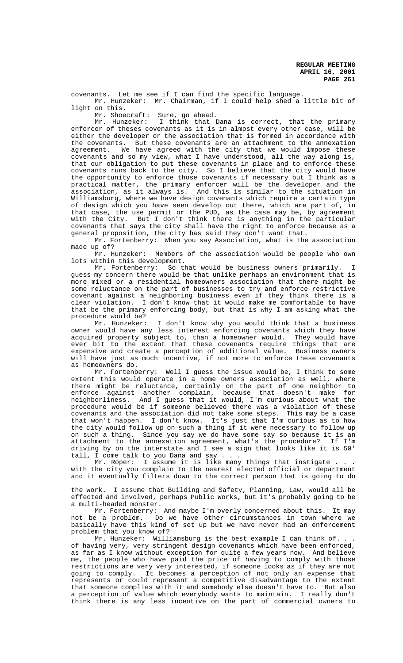covenants. Let me see if I can find the specific language. Mr. Hunzeker: Mr. Chairman, if I could help shed a little bit of light on this.

Mr. Shoecraft: Sure, go ahead.

Mr. Hunzeker: I think that Dana is correct, that the primary enforcer of theses covenants as it is in almost every other case, will be either the developer or the association that is formed in accordance with the covenants. But these covenants are an attachment to the annexation agreement. We have agreed with the city that we would impose these covenants and so my view, what I have understood, all the way along is, that our obligation to put these covenants in place and to enforce these covenants runs back to the city. So I believe that the city would have the opportunity to enforce those covenants if necessary but I think as a practical matter, the primary enforcer will be the developer and the association, as it always is. And this is similar to the situation in Williamsburg, where we have design covenants which require a certain type of design which you have seen develop out there, which are part of, in that case, the use permit or the PUD, as the case may be, by agreement with the City. But I don't think there is anything in the particular covenants that says the city shall have the right to enforce because as a general proposition, the city has said they don't want that.

Mr. Fortenberry: When you say Association, what is the association made up of?<br>Mr. Hunzeker:

Members of the association would be people who own lots within this development.

Mr. Fortenberry: So that would be business owners primarily. I guess my concern there would be that unlike perhaps an environment that is more mixed or a residential homeowners association that there might be some reluctance on the part of businesses to try and enforce restrictive covenant against a neighboring business even if they think there is a clear violation. I don't know that it would make me comfortable to have that be the primary enforcing body, but that is why I am asking what the procedure would be?

Mr. Hunzeker: I don't know why you would think that a business owner would have any less interest enforcing covenants which they have acquired property subject to, than a homeowner would. They would have ever bit to the extent that these covenants require things that are expensive and create a perception of additional value. Business owners will have just as much incentive, if not more to enforce these covenants as homeowners do.

Mr. Fortenberry: Well I guess the issue would be, I think to some extent this would operate in a home owners association as well, where there might be reluctance, certainly on the part of one neighbor to enforce against another complain, because that doesn't make for neighborliness. And I guess that it would, I'm curious about what the procedure would be if someone believed there was a violation of these covenants and the association did not take some steps. This may be a case that won't happen. I don't know. It's just that I'm curious as to how the city would follow up on such a thing if it were necessary to follow up on such a thing. Since you say we do have some say so because it is an attachment to the annexation agreement, what's the procedure? If I'm driving by on the interstate and I see a sign that looks like it is 50' tall, I come talk to you Dana and say . . .

 $Mr.$  Roper: I assume it is like many things that instigate . with the city you complain to the nearest elected official or department and it eventually filters down to the correct person that is going to do

the work. I assume that Building and Safety, Planning, Law, would all be effected and involved, perhaps Public Works, but it's probably going to be a multi-headed monster.

Mr. Fortenberry: And maybe I'm overly concerned about this. It may not be a problem. Do we have other circumstances in town where we basically have this kind of set up but we have never had an enforcement problem that you know of?

Mr. Hunzeker: Williamsburg is the best example I can think of. of having very, very stringent design covenants which have been enforced, as far as I know without exception for quite a few years now. And believe me, the people who have paid the price of having to comply with those restrictions are very very interested, if someone looks as if they are not going to comply. It becomes a perception of not only an expense that represents or could represent a competitive disadvantage to the extent that someone complies with it and somebody else doesn't have to. But also a perception of value which everybody wants to maintain. I really don't think there is any less incentive on the part of commercial owners to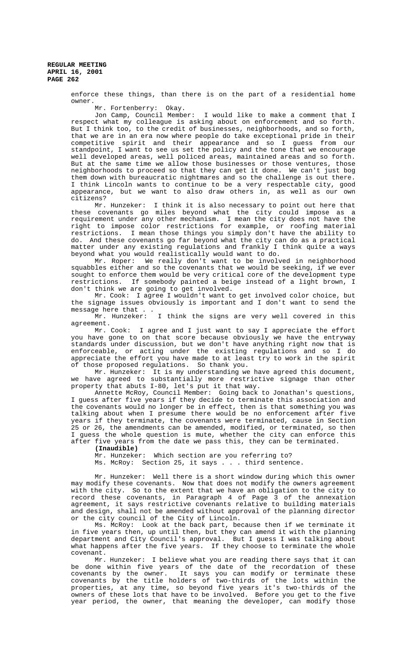enforce these things, than there is on the part of a residential home owner.

Mr. Fortenberry: Okay.<br>Jon Camp, Council Member: I would like to make a comment that I respect what my colleague is asking about on enforcement and so forth. But I think too, to the credit of businesses, neighborhoods, and so forth, that we are in an era now where people do take exceptional pride in their competitive spirit and their appearance and so I guess from our standpoint, I want to see us set the policy and the tone that we encourage well developed areas, well policed areas, maintained areas and so forth. But at the same time we allow those businesses or those ventures, those neighborhoods to proceed so that they can get it done. We can't just bog them down with bureaucratic nightmares and so the challenge is out there. I think Lincoln wants to continue to be a very respectable city, good appearance, but we want to also draw others in, as well as our own citizens?

Mr. Hunzeker: I think it is also necessary to point out here that these covenants go miles beyond what the city could impose as a requirement under any other mechanism. I mean the city does not have the right to impose color restrictions for example, or roofing material restrictions. I mean those things you simply don't have the ability to do. And these covenants go far beyond what the city can do as a practical matter under any existing regulations and frankly I think quite a ways beyond what you would realistically would want to do.

Mr. Roper: We really don't want to be involved in neighborhood squabbles either and so the covenants that we would be seeking, if we ever square the enforce them would be very critical core of the development type restrictions. If somebody painted a beige instead of a light brown, I don't think we are going to get involved.

Mr. Cook: I agree I wouldn't want to get involved color choice, but the signage issues obviously is important and I don't want to send the message here that . .

Mr. Hunzeker: I think the signs are very well covered in this agreement.

Mr. Cook: I agree and I just want to say I appreciate the effort you have gone to on that score because obviously we have the entryway standards under discussion, but we don't have anything right now that is enforceable, or acting under the existing regulations and so I do appreciate the effort you have made to at least try to work in the spirit of those proposed regulations. So thank you.

Mr. Hunzeker: It is my understanding we have agreed this document, we have agreed to substantially more restrictive signage than other property that abuts I-80, let's put it that way.

Annette McRoy, Council Member: Going back to Jonathan's questions, I guess after five years if they decide to terminate this association and the covenants would no longer be in effect, then is that something you was talking about when I presume there would be no enforcement after five years if they terminate, the covenants were terminated, cause in Section 25 or 26, the amendments can be amended, modified, or terminated, so then I guess the whole question is mute, whether the city can enforce this after five years from the date we pass this, they can be terminated.

## **(Inaudible)**

Mr. Hunzeker: Which section are you referring to?

Ms. McRoy: Section 25, it says . . . third sentence.

Mr. Hunzeker: Well there is a short window during which this owner may modify these covenants. Now that does not modify the owners agreement with the city. So to the extent that we have an obligation to the city to record these covenants, in Paragraph 4 of Page 3 of the annexation agreement, it says restrictive covenants relative to building materials and design, shall not be amended without approval of the planning director or the city council of the City of Lincoln.

Ms. McRoy: Look at the back part, because then if we terminate it in five years then, up until then, but they can amend it with the planning department and City Council's approval. But I guess I was talking about what happens after the five years. If they choose to terminate the whole covenant.

Mr. Hunzeker: I believe what you are reading there says that it can be done within five years of the date of the recordation of these covenants by the owner. It says you can modify or terminate these covenants by the title holders of two-thirds of the lots within the properties, at any time, so beyond five years it's two-thirds of the owners of these lots that have to be involved. Before you get to the five year period, the owner, that meaning the developer, can modify those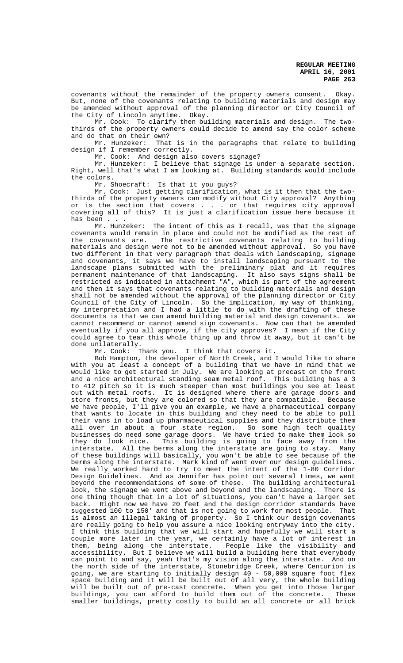covenants without the remainder of the property owners consent. Okay. But, none of the covenants relating to building materials and design may be amended without approval of the planning director or City Council of the City of Lincoln anytime. Okay.

Mr. Cook: To clarify then building materials and design. The twothirds of the property owners could decide to amend say the color scheme and do that on their own?

Mr. Hunzeker: That is in the paragraphs that relate to building design if I remember correctly.

Mr. Cook: And design also covers signage?

Mr. Hunzeker: I believe that signage is under a separate section. Right, well that's what I am looking at. Building standards would include the colors.

Mr. Shoecraft: Is that it you guys?

Mr. Cook: Just getting clarification, what is it then that the twothirds of the property owners can modify without City approval? Anything or is the section that covers . . . or that requires city approval covering all of this? It is just a clarification issue here because it has been .

Mr. Hunzeker: The intent of this as I recall, was that the signage covenants would remain in place and could not be modified as the rest of the covenants are. The restrictive covenants relating to building materials and design were not to be amended without approval. So you have two different in that very paragraph that deals with landscaping, signage and covenants, it says we have to install landscaping pursuant to the landscape plans submitted with the preliminary plat and it requires permanent maintenance of that landscaping. It also says signs shall be restricted as indicated in attachment "A", which is part of the agreement and then it says that covenants relating to building materials and design shall not be amended without the approval of the planning director or City Council of the City of Lincoln. So the implication, my way of thinking, my interpretation and I had a little to do with the drafting of these documents is that we can amend building material and design covenants. We cannot recommend or cannot amend sign covenants. Now can that be amended eventually if you all approve, if the city approves? I mean if the City could agree to tear this whole thing up and throw it away, but it can't be done unilaterally.

Mr. Cook: Thank you. I think that covers it.

Bob Hampton, the developer of North Creek, and I would like to share with you at least a concept of a building that we have in mind that we would like to get started in July. We are looking at precast on the front and a nice architectural standing seam metal roof. This building has a 3 to 412 pitch so it is much steeper than most buildings you see at least out with metal roofs. It is designed where there are garage doors and store fronts, but they are colored so that they are compatible. Because we have people, I'll give you an example, we have a pharmaceutical company that wants to locate in this building and they need to be able to pull their vans in to load up pharmaceutical supplies and they distribute them all over in about a four state region. So some high tech quality businesses do need some garage doors. We have tried to make them look so they do look nice. This building is going to face away from the interstate. All the berms along the interstate are going to stay. Many of these buildings will basically, you won't be able to see because of the berms along the interstate. Mark kind of went over our design guidelines. We really worked hard to try to meet the intent of the 1-80 Corridor Design Guidelines. And as Jennifer has point out several times, we went beyond the recommendations of some of these. The building architectural look, the signage we went above and beyond and the landscaping. There is one thing though that in a lot of situations, you can't have a larger set back. Right now we have 20 feet and the design corridor standards have suggested 100 to 150' and that is not going to work for most people. That is almost an illegal taking of property. So I think our design covenants are really going to help you assure a nice looking entryway into the city. I think this building that we will start and hopefully we will start a couple more later in the year, we certainly have a lot of interest in them, being along the interstate. People like the visibility and accessibility. But I believe we will build a building here that everybody can point to and say, yeah that's my vision along the interstate. And on the north side of the interstate, Stonebridge Creek, where Centurion is going, we are starting to initially design 40 - 50,000 square foot flex space building and it will be built out of all very, the whole building will be built out of pre-cast concrete. When you get into those larger<br>buildings, you can afford to build them out of the concrete. These buildings, you can afford to build them out of the concrete. smaller buildings, pretty costly to build an all concrete or all brick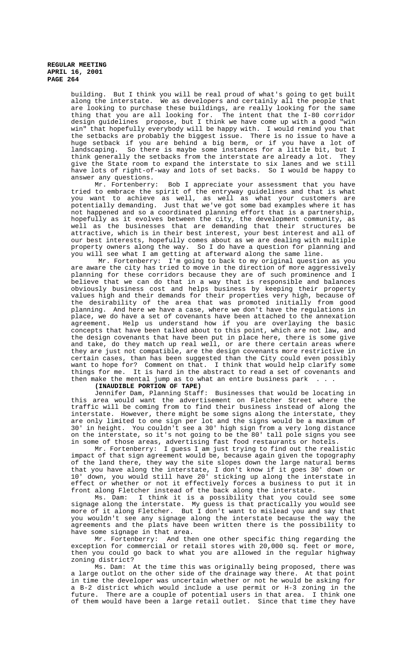> building. But I think you will be real proud of what's going to get built along the interstate. We as developers and certainly all the people that are looking to purchase these buildings, are really looking for the same thing that you are all looking for. The intent that the I-80 corridor design guidelines propose, but I think we have come up with a good "win win" that hopefully everybody will be happy with. I would remind you that the setbacks are probably the biggest issue. There is no issue to have a huge setback if you are behind a big berm, or if you have a lot of landscaping. So there is maybe some instances for a little bit, but I think generally the setbacks from the interstate are already a lot. They give the State room to expand the interstate to six lanes and we still have lots of right-of-way and lots of set backs. So I would be happy to answer any questions.

> Mr. Fortenberry: Bob I appreciate your assessment that you have tried to embrace the spirit of the entryway guidelines and that is what you want to achieve as well, as well as what your customers are potentially demanding. Just that we've got some bad examples where it has not happened and so a coordinated planning effort that is a partnership, hopefully as it evolves between the city, the development community, as well as the businesses that are demanding that their structures be attractive, which is in their best interest, your best interest and all of our best interests, hopefully comes about as we are dealing with multiple property owners along the way. So I do have a question for planning and you will see what I am getting at afterward along the same line.

> Mr. Fortenberry: I'm going to back to my original question as you are aware the city has tried to move in the direction of more aggressively planning for these corridors because they are of such prominence and I believe that we can do that in a way that is responsible and balances obviously business cost and helps business by keeping their property values high and their demands for their properties very high, because of the desirability of the area that was promoted initially from good planning. And here we have a case, where we don't have the regulations in place, we do have a set of covenants have been attached to the annexation agreement. Help us understand how if you are overlaying the basic concepts that have been talked about to this point, which are not law, and the design covenants that have been put in place here, there is some give and take, do they match up real well, or are there certain areas where they are just not compatible, are the design covenants more restrictive in certain cases, than has been suggested than the City could even possibly want to hope for? Comment on that. I think that would help clarify some things for me. It is hard in the abstract to read a set of covenants and then make the mental jump as to what an entire business park

**(INAUDIBLE PORTION OF TAPE)**

Jennifer Dam, Planning Staff: Businesses that would be locating in this area would want the advertisement on Fletcher Street where the traffic will be coming from to find their business instead of along the interstate. However, there might be some signs along the interstate, they are only limited to one sign per lot and the signs would be a maximum of 30' in height. You couldn't see a 30' high sign from a very long distance on the interstate, so it's not going to be the 80' tall pole signs you see in some of those areas, advertising fast food restaurants or hotels.

Mr. Fortenberry: I guess I am just trying to find out the realistic impact of that sign agreement would be, because again given the topography of the land there, they way the site slopes down the large natural berms that you have along the interstate, I don't know if it goes 30' down or 10' down, you would still have 20' sticking up along the interstate in effect or whether or not it effectively forces a business to put it in front along Fletcher instead of the back along the interstate.

Ms. Dam: I think it is a possibility that you could see some signage along the interstate. My guess is that practically you would see more of it along Fletcher. But I don't want to mislead you and say that you wouldn't see any signage along the interstate because the way the agreements and the plats have been written there is the possibility to have some signage in that area.

Mr. Fortenberry: And then one other specific thing regarding the exception for commercial or retail stores with 20,000 sq. feet or more, then you could go back to what you are allowed in the regular highway zoning district?

Ms. Dam: At the time this was originally being proposed, there was a large outlot on the other side of the drainage way there. At that point in time the developer was uncertain whether or not he would be asking for a B-2 district which would include a use permit or H-3 zoning in the future. There are a couple of potential users in that area. I think one of them would have been a large retail outlet. Since that time they have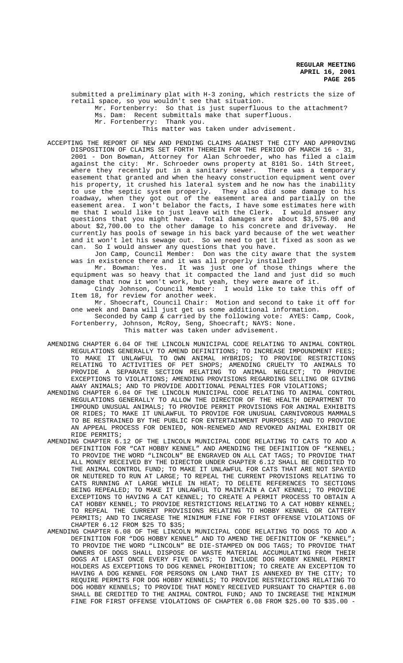submitted a preliminary plat with H-3 zoning, which restricts the size of retail space, so you wouldn't see that situation.

Mr. Fortenberry: So that is just superfluous to the attachment? Ms. Dam: Recent submittals make that superfluous.

Mr. Fortenberry: Thank you.

This matter was taken under advisement.

ACCEPTING THE REPORT OF NEW AND PENDING CLAIMS AGAINST THE CITY AND APPROVING DISPOSITION OF CLAIMS SET FORTH THEREIN FOR THE PERIOD OF MARCH 16 - 31, 2001 - Don Bowman, Attorney for Alan Schroeder, who has filed a claim against the city: Mr. Schroeder owns property at 8101 So. 14th Street, where they recently put in a sanitary sewer. There was a temporary easement that granted and when the heavy construction equipment went over his property, it crushed his lateral system and he now has the inability to use the septic system properly. They also did some damage to his roadway, when they got out of the easement area and partially on the easement area. I won't belabor the facts, I have some estimates here with me that I would like to just leave with the Clerk. I would answer any questions that you might have. Total damages are about \$3,575.00 and about \$2,700.00 to the other damage to his concrete and driveway. He currently has pools of sewage in his back yard because of the wet weather and it won't let his sewage out. So we need to get it fixed as soon as we can. So I would answer any questions that you have.

Jon Camp, Council Member: Don was the city aware that the system was in existence there and it was all properly installed?

Mr. Bowman: Yes. It was just one of those things where the equipment was so heavy that it compacted the land and just did so much damage that now it won't work, but yeah, they were aware of it.

Cindy Johnson, Council Member: I would like to take this off of Item 18, for review for another week.

Mr. Shoecraft, Council Chair: Motion and second to take it off for one week and Dana will just get us some additional information.

Seconded by Camp & carried by the following vote: AYES: Camp, Cook, Fortenberry, Johnson, McRoy, Seng, Shoecraft; NAYS: None.

This matter was taken under advisement.

- AMENDING CHAPTER 6.04 OF THE LINCOLN MUNICIPAL CODE RELATING TO ANIMAL CONTROL REGULATIONS GENERALLY TO AMEND DEFINITIONS; TO INCREASE IMPOUNDMENT FEES; TO MAKE IT UNLAWFUL TO OWN ANIMAL HYBRIDS; TO PROVIDE RESTRICTIONS RELATING TO ACTIVITIES OF PET SHOPS; AMENDING CRUELTY TO ANIMALS TO PROVIDE A SEPARATE SECTION RELATING TO ANIMAL NEGLECT; TO PROVIDE EXCEPTIONS TO VIOLATIONS; AMENDING PROVISIONS REGARDING SELLING OR GIVING AWAY ANIMALS; AND TO PROVIDE ADDITIONAL PENALTIES FOR VIOLATIONS;
- AMENDING CHAPTER 6.04 OF THE LINCOLN MUNICIPAL CODE RELATING TO ANIMAL CONTROL REGULATIONS GENERALLY TO ALLOW THE DIRECTOR OF THE HEALTH DEPARTMENT TO IMPOUND UNUSUAL ANIMALS; TO PROVIDE PERMIT PROVISIONS FOR ANIMAL EXHIBITS OR RIDES; TO MAKE IT UNLAWFUL TO PROVIDE FOR UNUSUAL CARNIVOROUS MAMMALS TO BE RESTRAINED BY THE PUBLIC FOR ENTERTAINMENT PURPOSES; AND TO PROVIDE AN APPEAL PROCESS FOR DENIED, NON-RENEWED AND REVOKED ANIMAL EXHIBIT OR RIDE PERMITS;
- AMENDING CHAPTER 6.12 OF THE LINCOLN MUNICIPAL CODE RELATING TO CATS TO ADD A DEFINITION FOR "CAT HOBBY KENNEL" AND AMENDING THE DEFINITION OF "KENNEL; TO PROVIDE THE WORD "LINCOLN" BE ENGRAVED ON ALL CAT TAGS; TO PROVIDE THAT ALL MONEY RECEIVED BY THE DIRECTOR UNDER CHAPTER 6.12 SHALL BE CREDITED TO THE ANIMAL CONTROL FUND; TO MAKE IT UNLAWFUL FOR CATS THAT ARE NOT SPAYED OR NEUTERED TO RUN AT LARGE; TO REPEAL THE CURRENT PROVISIONS RELATING TO CATS RUNNING AT LARGE WHILE IN HEAT; TO DELETE REFERENCES TO SECTIONS BEING REPEALED; TO MAKE IT UNLAWFUL TO MAINTAIN A CAT KENNEL; TO PROVIDE EXCEPTIONS TO HAVING A CAT KENNEL; TO CREATE A PERMIT PROCESS TO OBTAIN A CAT HOBBY KENNEL; TO PROVIDE RESTRICTIONS RELATING TO A CAT HOBBY KENNEL; TO REPEAL THE CURRENT PROVISIONS RELATING TO HOBBY KENNEL OR CATTERY PERMITS; AND TO INCREASE THE MINIMUM FINE FOR FIRST OFFENSE VIOLATIONS OF CHAPTER 6.12 FROM \$25 TO \$35;
- AMENDING CHAPTER 6.08 OF THE LINCOLN MUNICIPAL CODE RELATING TO DOGS TO ADD A DEFINITION FOR "DOG HOBBY KENNEL" AND TO AMEND THE DEFINITION OF "KENNEL"; TO PROVIDE THE WORD "LINCOLN" BE DIE-STAMPED ON DOG TAGS; TO PROVIDE THAT OWNERS OF DOGS SHALL DISPOSE OF WASTE MATERIAL ACCUMULATING FROM THEIR DOGS AT LEAST ONCE EVERY FIVE DAYS; TO INCLUDE DOG HOBBY KENNEL PERMIT HOLDERS AS EXCEPTIONS TO DOG KENNEL PROHIBITION; TO CREATE AN EXCEPTION TO HAVING A DOG KENNEL FOR PERSONS ON LAND THAT IS ANNEXED BY THE CITY; TO REQUIRE PERMITS FOR DOG HOBBY KENNELS; TO PROVIDE RESTRICTIONS RELATING TO DOG HOBBY KENNELS; TO PROVIDE THAT MONEY RECEIVED PURSUANT TO CHAPTER 6.08 SHALL BE CREDITED TO THE ANIMAL CONTROL FUND; AND TO INCREASE THE MINIMUM FINE FOR FIRST OFFENSE VIOLATIONS OF CHAPTER 6.08 FROM \$25.00 TO \$35.00 -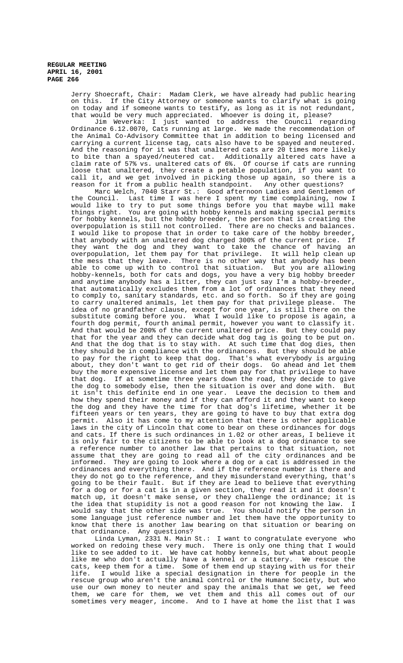> Jerry Shoecraft, Chair: Madam Clerk, we have already had public hearing on this. If the City Attorney or someone wants to clarify what is going on today and if someone wants to testify, as long as it is not redundant, that would be very much appreciated. Whoever is doing it, please?

> Jim Weverka: I just wanted to address the Council regarding Ordinance 6.12.0070, Cats running at large. We made the recommendation of the Animal Co-Advisory Committee that in addition to being licensed and carrying a current license tag, cats also have to be spayed and neutered. And the reasoning for it was that unaltered cats are 20 times more likely to bite than a spayed/neutered cat. Additionally altered cats have a claim rate of 57% vs. unaltered cats of 6%. Of course if cats are running loose that unaltered, they create a petable population, if you want to call it, and we get involved in picking those up again, so there is a reason for it from a public health standpoint. Any other questions?

> Marc Welch, 7040 Starr St.: Good afternoon Ladies and Gentlemen of the Council. Last time I was here I spent my time complaining, now I would like to try to put some things before you that maybe will make things right. You are going with hobby kennels and making special permits for hobby kennels, but the hobby breeder, the person that is creating the overpopulation is still not controlled. There are no checks and balances. I would like to propose that in order to take care of the hobby breeder, that anybody with an unaltered dog charged 300% of the current price. If they want the dog and they want to take the chance of having an overpopulation, let them pay for that privilege. It will help clean up the mess that they leave. There is no other way that anybody has been able to come up with to control that situation. But you are allowing hobby-kennels, both for cats and dogs, you have a very big hobby breeder and anytime anybody has a litter, they can just say I'm a hobby-breeder, that automatically excludes them from a lot of ordinances that they need to comply to, sanitary standards, etc. and so forth. So if they are going to carry unaltered animals, let them pay for that privilege please. The idea of no grandfather clause, except for one year, is still there on the substitute coming before you. What I would like to propose is again, a fourth dog permit, fourth animal permit, however you want to classify it. And that would be 200% of the current unaltered price. But they could pay that for the year and they can decide what dog tag is going to be put on. And that the dog that is to stay with. At such time that dog dies, then they should be in compliance with the ordinances. But they should be able to pay for the right to keep that dog. That's what everybody is arguing about, they don't want to get rid of their dogs. Go ahead and let them buy the more expensive license and let them pay for that privilege to have that dog. If at sometime three years down the road, they decide to give the dog to somebody else, then the situation is over and done with. But it isn't this definite end in one year. Leave the decision to them and how they spend their money and if they can afford it and they want to keep the dog and they have the time for that dog's lifetime, whether it be fifteen years or ten years, they are going to have to buy that extra dog permit. Also it has come to my attention that there is other applicable laws in the city of Lincoln that come to bear on these ordinances for dogs and cats. If there is such ordinances in 1.02 or other areas, I believe it is only fair to the citizens to be able to look at a dog ordinance to see a reference number to another law that pertains to that situation, not assume that they are going to read all of the city ordinances and be informed. They are going to look where a dog or a cat is addressed in the ordinances and everything there. And if the reference number is there and they do not go to the reference, and they misunderstand everything, that's going to be their fault. But if they are lead to believe that everything for a dog or for a cat is in a given section, they read it and it doesn't match up, it doesn't make sense, or they challenge the ordinance; it is<br>the idea that stupidity is not a good reason for not knowing the law. I the idea that stupidity is not a good reason for not knowing the law. would say that the other side was true. You should notify the person in some language just reference number and let them have the opportunity to know that there is another law bearing on that situation or bearing on that ordinance. Any questions?

> Linda Lyman, 2331 N. Main St.: I want to congratulate everyone who worked on redoing these very much. There is only one thing that I would like to see added to it. We have cat hobby kennels, but what about people like me who don't actually have a kennel or a cattery. We rescue the cats, keep them for a time. Some of them end up staying with us for their life. I would like a special designation in there for people in the rescue group who aren't the animal control or the Humane Society, but who use our own money to neuter and spay the animals that we get, we feed them, we care for them, we vet them and this all comes out of our sometimes very meager, income. And to I have at home the list that I was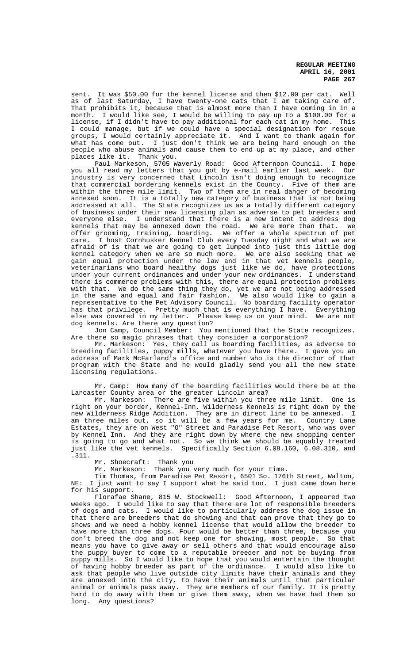sent. It was \$50.00 for the kennel license and then \$12.00 per cat. Well as of last Saturday, I have twenty-one cats that I am taking care of. That prohibits it, because that is almost more than I have coming in in a month. I would like see, I would be willing to pay up to a \$100.00 for a license, if I didn't have to pay additional for each cat in my home. This I could manage, but if we could have a special designation for rescue groups, I would certainly appreciate it. And I want to thank again for what has come out. I just don't think we are being hard enough on the people who abuse animals and cause them to end up at my place, and other places like it. Thank you.

Paul Markeson, 5705 Waverly Road: Good Afternoon Council. I hope you all read my letters that you got by e-mail earlier last week. Our industry is very concerned that Lincoln isn't doing enough to recognize that commercial bordering kennels exist in the County. Five of them are within the three mile limit. Two of them are in real danger of becoming annexed soon. It is a totally new category of business that is not being addressed at all. The State recognizes us as a totally different category of business under their new licensing plan as adverse to pet breeders and everyone else. I understand that there is a new intent to address dog kennels that may be annexed down the road. We are more than that. We kennels that may be annexed down the road. We are more than that. We offer grooming, training, boarding. We offer a whole spectrum of pet care. I host Cornhusker Kennel Club every Tuesday night and what we are afraid of is that we are going to get lumped into just this little dog kennel category when we are so much more. We are also seeking that we gain equal protection under the law and in that vet kennels people, veterinarians who board healthy dogs just like we do, have protections under your current ordinances and under your new ordinances. I understand there is commerce problems with this, there are equal protection problems with that. We do the same thing they do, yet we are not being addressed in the same and equal and fair fashion. We also would like to gain a representative to the Pet Advisory Council. No boarding facility operator has that privilege. Pretty much that is everything I have. Everything else was covered in my letter. Please keep us on your mind. We are not dog kennels. Are there any question?

Jon Camp, Council Member: You mentioned that the State recognizes. Are there so magic phrases that they consider a corporation?

Mr. Markeson: Yes, they call us boarding facilities, as adverse to breeding facilities, puppy mills, whatever you have there. I gave you an address of Mark McFarland's office and number who is the director of that program with the State and he would gladly send you all the new state licensing regulations.

Mr. Camp: How many of the boarding facilities would there be at the Lancaster County area or the greater Lincoln area?

Mr. Markeson: There are five within you three mile limit. One is right on your border, Kennel-Inn, Wilderness Kennels is right down by the new Wilderness Ridge Addition. They are in direct line to be annexed. I am three miles out, so it will be a few years for me. Country Lane Estates, they are on West "O" Street and Paradise Pet Resort, who was over by Kennel Inn. And they are right down by where the new shopping center is going to go and what not. So we think we should be equably treated just like the vet kennels. Specifically Section 6.08.160, 6.08.310, and .311.

Mr. Shoecraft: Thank you

Mr. Markeson: Thank you very much for your time.

Tim Thomas, from Paradise Pet Resort, 6501 So. 176th Street, Walton, NE: I just want to say I support what he said too. I just came down here for his support.

Florafae Shane, 815 W. Stockwell: Good Afternoon, I appeared two weeks ago. I would like to say that there are lot of responsible breeders of dogs and cats. I would like to particularly address the dog issue in that there are breeders that do showing and that can prove that they go to shows and we need a hobby kennel license that would allow the breeder to have more than three dogs. Four would be better than three, because you don't breed the dog and not keep one for showing, most people. So that means you have to give away or sell others and that would encourage also the puppy buyer to come to a reputable breeder and not be buying from puppy mills. So I would like to hope that you would entertain the thought of having hobby breeder as part of the ordinance. I would also like to ask that people who live outside city limits have their animals and they are annexed into the city, to have their animals until that particular animal or animals pass away. They are members of our family. It is pretty hard to do away with them or give them away, when we have had them so long. Any questions?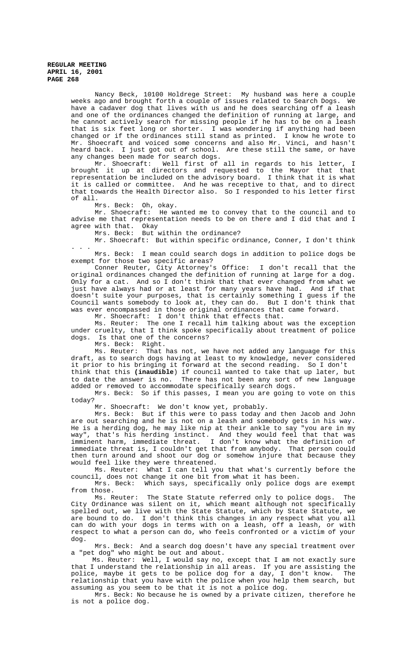Nancy Beck, 10100 Holdrege Street: My husband was here a couple weeks ago and brought forth a couple of issues related to Search Dogs. have a cadaver dog that lives with us and he does searching off a leash and one of the ordinances changed the definition of running at large, and he cannot actively search for missing people if he has to be on a leash that is six feet long or shorter. I was wondering if anything had been changed or if the ordinances still stand as printed. I know he wrote to Mr. Shoecraft and voiced some concerns and also Mr. Vinci, and hasn't heard back. I just got out of school. Are these still the same, or have any changes been made for search dogs.

Mr. Shoecraft: Well first of all in regards to his letter, I brought it up at directors and requested to the Mayor that that representation be included on the advisory board. I think that it is what it is called or committee. And he was receptive to that, and to direct that towards the Health Director also. So I responded to his letter first of all.

Mrs. Beck: Oh, okay.

Mr. Shoecraft: He wanted me to convey that to the council and to advise me that representation needs to be on there and I did that and I agree with that. Okay

Mrs. Beck: But within the ordinance?

Mr. Shoecraft: But within specific ordinance, Conner, I don't think . . .

Mrs. Beck: I mean could search dogs in addition to police dogs be exempt for those two specific areas?

Conner Reuter, City Attorney's Office: I don't recall that the original ordinances changed the definition of running at large for a dog. Only for a cat. And so I don't think that that ever changed from what we just have always had or at least for many years have had. And if that doesn't suite your purposes, that is certainly something I guess if the Council wants somebody to look at, they can do. But I don't think that was ever encompassed in those original ordinances that came forward.

Mr. Shoecraft: I don't think that effects that.

Ms. Reuter: The one I recall him talking about was the exception under cruelty, that I think spoke specifically about treatment of police dogs. Is that one of the concerns?

Mrs. Beck: Right.

Ms. Reuter: That has not, we have not added any language for this draft, as to search dogs having at least to my knowledge, never considered it prior to his bringing it forward at the second reading. So I don't

think that this **(inaudible**) if council wanted to take that up later, but to date the answer is no. There has not been any sort of new language added or removed to accommodate specifically search dogs.

Mrs. Beck: So if this passes, I mean you are going to vote on this today?

Mr. Shoecraft: We don't know yet, probably.

Mrs. Beck: But if this were to pass today and then Jacob and John are out searching and he is not on a leash and somebody gets in his way. He is a herding dog, he may like nip at their ankle to say "you are in my way", that's his herding instinct. And they would feel that that was imminent harm, immediate threat. I don't know what the definition of immediate threat is, I couldn't get that from anybody. That person could then turn around and shoot our dog or somehow injure that because they would feel like they were threatened.

Ms. Reuter: What I can tell you that what's currently before the council, does not change it one bit from what it has been.

Mrs. Beck: Which says, specifically only police dogs are exempt from those.

Ms. Reuter: The State Statute referred only to police dogs. The City Ordinance was silent on it, which meant although not specifically spelled out, we live with the State Statute, which by State Statute, we are bound to do. I don't think this changes in any respect what you all can do with your dogs in terms with on a leash, off a leash, or with respect to what a person can do, who feels confronted or a victim of your dog.

Mrs. Beck: And a search dog doesn't have any special treatment over a "pet dog" who might be out and about.

 Ms. Reuter: Well, I would say no, except that I am not exactly sure that I understand the relationship in all areas. If you are assisting the police, maybe it gets to be police dog for a day, I don't know. The relationship that you have with the police when you help them search, but assuming as you seem to be that it is not a police dog.

Mrs. Beck: No because he is owned by a private citizen, therefore he is not a police dog.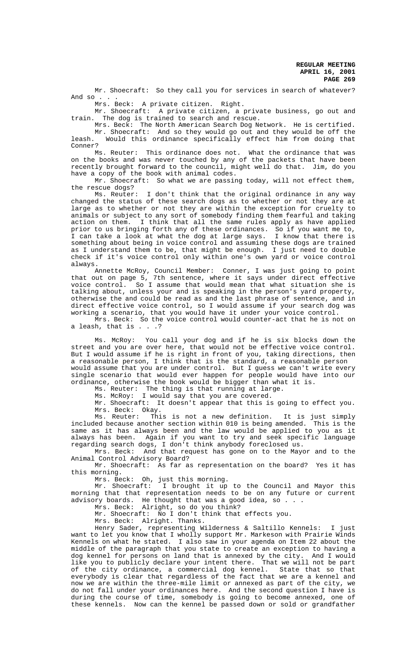Mr. Shoecraft: So they call you for services in search of whatever? And so . . .

Mrs. Beck: A private citizen. Right.

Mr. Shoecraft: A private citizen, a private business, go out and train. The dog is trained to search and rescue.

Mrs. Beck: The North American Search Dog Network. He is certified. Mr. Shoecraft: And so they would go out and they would be off the<br>leash. Would this ordinance specifically effect him from doing that Would this ordinance specifically effect him from doing that Conner?

Ms. Reuter: This ordinance does not. What the ordinance that was on the books and was never touched by any of the packets that have been recently brought forward to the council, might well do that. Jim, do you have a copy of the book with animal codes.

Mr. Shoecraft: So what we are passing today, will not effect them, the rescue dogs?<br>Ms. Reuter:

I don't think that the original ordinance in any way changed the status of these search dogs as to whether or not they are at large as to whether or not they are within the exception for cruelty to animals or subject to any sort of somebody finding them fearful and taking action on them. I think that all the same rules apply as have applied prior to us bringing forth any of these ordinances. So if you want me to, I can take a look at what the dog at large says. I know that there is something about being in voice control and assuming these dogs are trained as I understand them to be, that might be enough. I just need to double check if it's voice control only within one's own yard or voice control always.

Annette McRoy, Council Member: Conner, I was just going to point that out on page 5, 7th sentence, where it says under direct effective voice control. So I assume that would mean that what situation she is talking about, unless your and is speaking in the person's yard property, otherwise the and could be read as and the last phrase of sentence, and in direct effective voice control, so I would assume if your search dog was working a scenario, that you would have it under your voice control.

Mrs. Beck: So the voice control would counter-act that he is not on a leash, that is . . .?

Ms. McRoy: You call your dog and if he is six blocks down the street and you are over here, that would not be effective voice control. But I would assume if he is right in front of you, taking directions, then a reasonable person, I think that is the standard, a reasonable person would assume that you are under control. But I guess we can't write every single scenario that would ever happen for people would have into our ordinance, otherwise the book would be bigger than what it is.

Ms. Reuter: The thing is that running at large.

Ms. McRoy: I would say that you are covered.

Mr. Shoecraft: It doesn't appear that this is going to effect you.

Mrs. Beck: Okay.<br>Ms. Reuter: This is not a new definition. Ms. Reuter: This is not a new definition. It is just simply included because another section within 010 is being amended. This is the same as it has always been and the law would be applied to you as it always has been. Again if you want to try and seek specific language regarding search dogs, I don't think anybody foreclosed us.

Mrs. Beck: And that request has gone on to the Mayor and to the Animal Control Advisory Board?

Mr. Shoecraft: As far as representation on the board? Yes it has this morning.

Mrs. Beck: Oh, just this morning.

Mr. Shoecraft: I brought it up to the Council and Mayor this morning that that representation needs to be on any future or current advisory boards. He thought that was a good idea, so . . .

Mrs. Beck: Alright, so do you think?

Mr. Shoecraft: No I don't think that effects you.

Mrs. Beck: Alright. Thanks.

Henry Sader, representing Wilderness & Saltillo Kennels: I just want to let you know that I wholly support Mr. Markeson with Prairie Winds Kennels on what he stated. I also saw in your agenda on Item 22 about the middle of the paragraph that you state to create an exception to having a dog kennel for persons on land that is annexed by the city. And I would like you to publicly declare your intent there. That we will not be part of the city ordinance, a commercial dog kennel. State that so that everybody is clear that regardless of the fact that we are a kennel and now we are within the three-mile limit or annexed as part of the city, we do not fall under your ordinances here. And the second question I have is during the course of time, somebody is going to become annexed, one of these kennels. Now can the kennel be passed down or sold or grandfather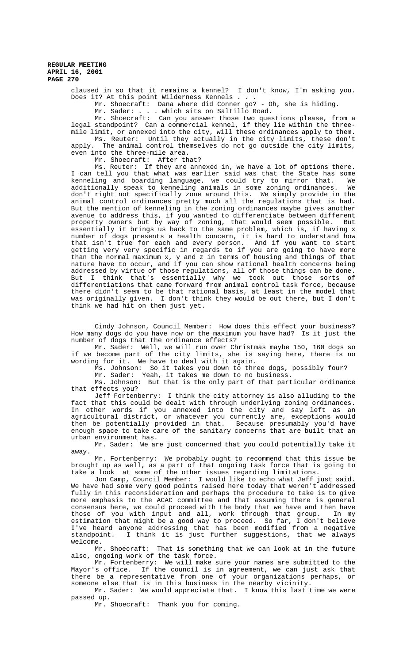> claused in so that it remains a kennel? I don't know, I'm asking you. Does it? At this point Wilderness Kennels . . .

Mr. Shoecraft: Dana where did Conner go? - Oh, she is hiding.

Mr. Sader: . . . which sits on Saltillo Road.

Mr. Shoecraft: Can you answer those two questions please, from a legal standpoint? Can a commercial kennel, if they lie within the threemile limit, or annexed into the city, will these ordinances apply to them. Ms. Reuter: Until they actually in the city limits, these don't

apply. The animal control themselves do not go outside the city limits, even into the three-mile area.

Mr. Shoecraft: After that?

Ms. Reuter: If they are annexed in, we have a lot of options there. I can tell you that what was earlier said was that the State has some kenneling and boarding language, we could try to mirror that. We additionally speak to kenneling animals in some zoning ordinances. We don't right not specifically zone around this. We simply provide in the animal control ordinances pretty much all the regulations that is had. But the mention of kenneling in the zoning ordinances maybe gives another avenue to address this, if you wanted to differentiate between different property owners but by way of zoning, that would seem possible. But essentially it brings us back to the same problem, which is, if having x number of dogs presents a health concern, it is hard to understand how that isn't true for each and every person. And if you want to start getting very very specific in regards to if you are going to have more than the normal maximum x, y and z in terms of housing and things of that nature have to occur, and if you can show rational health concerns being addressed by virtue of those regulations, all of those things can be done. But I think that's essentially why we took out those sorts of differentiations that came forward from animal control task force, because there didn't seem to be that rational basis, at least in the model that was originally given. I don't think they would be out there, but I don't think we had hit on them just yet.

Cindy Johnson, Council Member: How does this effect your business? How many dogs do you have now or the maximum you have had? Is it just the number of dogs that the ordinance effects?

Mr. Sader: Well, we will run over Christmas maybe 150, 160 dogs so if we become part of the city limits, she is saying here, there is no wording for it. We have to deal with it again.

Ms. Johnson: So it takes you down to three dogs, possibly four?

Mr. Sader: Yeah, it takes me down to no business.

Ms. Johnson: But that is the only part of that particular ordinance that effects you?

Jeff Fortenberry: I think the city attorney is also alluding to the fact that this could be dealt with through underlying zoning ordinances. In other words if you annexed into the city and say left as an agricultural district, or whatever you currently are, exceptions would then be potentially provided in that. Because presumably you'd have enough space to take care of the sanitary concerns that are built that an urban environment has.

Mr. Sader: We are just concerned that you could potentially take it away.

Mr. Fortenberry: We probably ought to recommend that this issue be brought up as well, as a part of that ongoing task force that is going to take a look at some of the other issues regarding limitations.

Jon Camp, Council Member: I would like to echo what Jeff just said. We have had some very good points raised here today that weren't addressed fully in this reconsideration and perhaps the procedure to take is to give more emphasis to the ACAC committee and that assuming there is general consensus here, we could proceed with the body that we have and then have those of you with input and all, work through that group. In my estimation that might be a good way to proceed. So far, I don't believe I've heard anyone addressing that has been modified from a negative standpoint. I think it is just further suggestions, that we always welcome.

Mr. Shoecraft: That is something that we can look at in the future also, ongoing work of the task force.

Mr. Fortenberry: We will make sure your names are submitted to the Mayor's office. If the council is in agreement, we can just ask that there be a representative from one of your organizations perhaps, or someone else that is in this business in the nearby vicinity.

Mr. Sader: We would appreciate that. I know this last time we were passed up.

Mr. Shoecraft: Thank you for coming.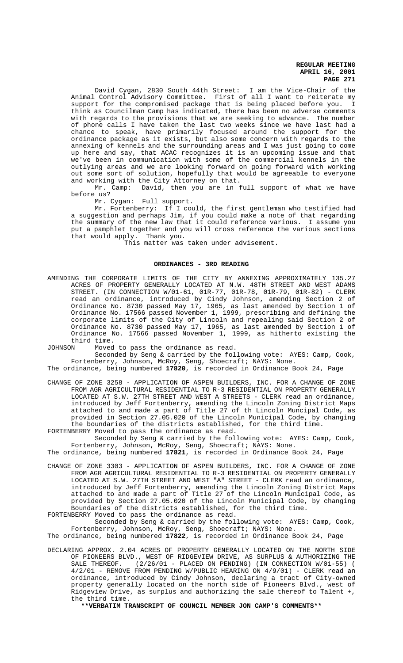David Cygan, 2830 South 44th Street: I am the Vice-Chair of the Animal Control Advisory Committee. First of all I want to reiterate my support for the compromised package that is being placed before you. I think as Councilman Camp has indicated, there has been no adverse comments with regards to the provisions that we are seeking to advance. The number of phone calls I have taken the last two weeks since we have last had a chance to speak, have primarily focused around the support for the ordinance package as it exists, but also some concern with regards to the annexing of kennels and the surrounding areas and I was just going to come up here and say, that ACAC recognizes it is an upcoming issue and that we've been in communication with some of the commercial kennels in the outlying areas and we are looking forward on going forward with working out some sort of solution, hopefully that would be agreeable to everyone and working with the City Attorney on that.

Mr. Camp: David, then you are in full support of what we have before us?

Mr. Cygan: Full support.

Mr. Fortenberry: If I could, the first gentleman who testified had a suggestion and perhaps Jim, if you could make a note of that regarding the summary of the new law that it could reference various. I assume you put a pamphlet together and you will cross reference the various sections that would apply. Thank you.

This matter was taken under advisement.

## **ORDINANCES - 3RD READING**

AMENDING THE CORPORATE LIMITS OF THE CITY BY ANNEXING APPROXIMATELY 135.27 ACRES OF PROPERTY GENERALLY LOCATED AT N.W. 48TH STREET AND WEST ADAMS STREET. (IN CONNECTION W/01-61, 01R-77, 01R-78, 01R-79, 01R-82) - CLERK read an ordinance, introduced by Cindy Johnson, amending Section 2 of Ordinance No. 8730 passed May 17, 1965, as last amended by Section 1 of Ordinance No. 17566 passed November 1, 1999, prescribing and defining the corporate limits of the City of Lincoln and repealing said Section 2 of Ordinance No. 8730 passed May 17, 1965, as last amended by Section 1 of Ordinance No. 17566 passed November 1, 1999, as hitherto existing the third time.

JOHNSON Moved to pass the ordinance as read.

Seconded by Seng & carried by the following vote: AYES: Camp, Cook, Fortenberry, Johnson, McRoy, Seng, Shoecraft; NAYS: None.

The ordinance, being numbered **17820**, is recorded in Ordinance Book 24, Page

CHANGE OF ZONE 3258 - APPLICATION OF ASPEN BUILDERS, INC. FOR A CHANGE OF ZONE FROM AGR AGRICULTURAL RESIDENTIAL TO R-3 RESIDENTIAL ON PROPERTY GENERALLY LOCATED AT S.W. 27TH STREET AND WEST A STREETS - CLERK read an ordinance, introduced by Jeff Fortenberry, amending the Lincoln Zoning District Maps attached to and made a part of Title 27 of th Lincoln Muncipal Code, as provided in Section 27.05.020 of the Lincoln Municipal Code, by changing the boundaries of the districts established, for the third time. FORTENBERRY Moved to pass the ordinance as read.

Seconded by Seng & carried by the following vote: AYES: Camp, Cook, Fortenberry, Johnson, McRoy, Seng, Shoecraft; NAYS: None.

The ordinance, being numbered **17821**, is recorded in Ordinance Book 24, Page

CHANGE OF ZONE 3303 - APPLICATION OF ASPEN BUILDERS, INC. FOR A CHANGE OF ZONE FROM AGR AGRICULTURAL RESIDENTIAL TO R-3 RESIDENTIAL ON PROPERTY GENERALLY LOCATED AT S.W. 27TH STREET AND WEST "A" STREET - CLERK read an ordinance, introduced by Jeff Fortenberry, amending the Lincoln Zoning District Maps attached to and made a part of Title 27 of the Lincoln Municipal Code, as provided by Section 27.05.020 of the Lincoln Municipal Code, by changing Boundaries of the districts established, for the third time. FORTENBERRY Moved to pass the ordinance as read.

Seconded by Seng & carried by the following vote: AYES: Camp, Cook, Fortenberry, Johnson, McRoy, Seng, Shoecraft; NAYS: None.

The ordinance, being numbered **17822**, is recorded in Ordinance Book 24, Page

DECLARING APPROX. 2.04 ACRES OF PROPERTY GENERALLY LOCATED ON THE NORTH SIDE OF PIONEERS BLVD., WEST OF RIDGEVIEW DRIVE, AS SURPLUS & AUTHORIZING THE SALE THEREOF.  $(2/26/01 -$ PLACED ON PENDING) (IN CONNECTION W/01-55) (  $(2/26/01$  - PLACED ON PENDING) (IN CONNECTION W/01-55) ( 4/2/01 - REMOVE FROM PENDING W/PUBLIC HEARING ON 4/9/01) - CLERK read an ordinance, introduced by Cindy Johnson, declaring a tract of City-owned property generally located on the north side of Pioneers Blvd., west of Ridgeview Drive, as surplus and authorizing the sale thereof to Talent +, the third time.

**\*\*VERBATIM TRANSCRIPT OF COUNCIL MEMBER JON CAMP'S COMMENTS\*\***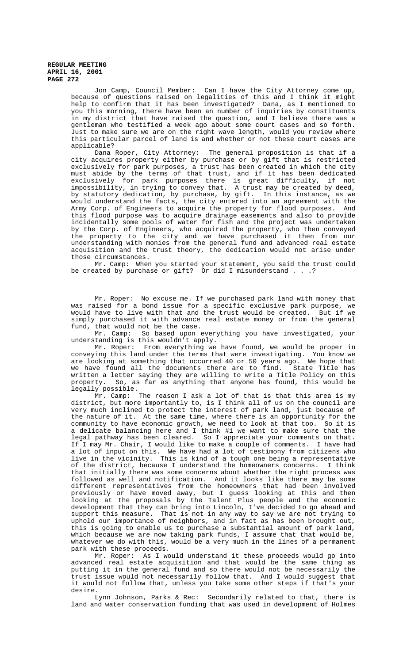Jon Camp, Council Member: Can I have the City Attorney come up, because of questions raised on legalities of this and I think it might help to confirm that it has been investigated? Dana, as I mentioned to you this morning, there have been an number of inquiries by constituents in my district that have raised the question, and I believe there was a gentleman who testified a week ago about some court cases and so forth. Just to make sure we are on the right wave length, would you review where this particular parcel of land is and whether or not these court cases are applicable?

Dana Roper, City Attorney: The general proposition is that if a city acquires property either by purchase or by gift that is restricted exclusively for park purposes, a trust has been created in which the city must abide by the terms of that trust, and if it has been dedicated exclusively for park purposes there is great difficulty, if not impossibility, in trying to convey that. A trust may be created by deed, by statutory dedication, by purchase, by gift. In this instance, as we would understand the facts, the city entered into an agreement with the Army Corp. of Engineers to acquire the property for flood purposes. And this flood purpose was to acquire drainage easements and also to provide incidentally some pools of water for fish and the project was undertaken by the Corp. of Engineers, who acquired the property, who then conveyed the property to the city and we have purchased it then from our understanding with monies from the general fund and advanced real estate acquisition and the trust theory, the dedication would not arise under those circumstances.

Mr. Camp: When you started your statement, you said the trust could be created by purchase or gift? Or did I misunderstand . . .?

Mr. Roper: No excuse me. If we purchased park land with money that was raised for a bond issue for a specific exclusive park purpose, we would have to live with that and the trust would be created. But if we simply purchased it with advance real estate money or from the general fund, that would not be the case.

Mr. Camp: So based upon everything you have investigated, your understanding is this wouldn't apply.

Mr. Roper: From everything we have found, we would be proper in conveying this land under the terms that were investigating. You know we are looking at something that occurred 40 or 50 years ago. We hope that we have found all the documents there are to find. State Title has written a letter saying they are willing to write a Title Policy on this property. So, as far as anything that anyone has found, this would be legally possible.

Mr. Camp: The reason I ask a lot of that is that this area is my district, but more importantly to, is I think all of us on the council are very much inclined to protect the interest of park land, just because of the nature of it. At the same time, where there is an opportunity for the community to have economic growth, we need to look at that too. So it is community to have economic growth, we need to look at that too. a delicate balancing here and I think #1 we want to make sure that the legal pathway has been cleared. So I appreciate your comments on that. If I may Mr. Chair, I would like to make a couple of comments. I have had a lot of input on this. We have had a lot of testimony from citizens who live in the vicinity. This is kind of a tough one being a representative of the district, because I understand the homeowners concerns. I think that initially there was some concerns about whether the right process was followed as well and notification. And it looks like there may be some different representatives from the homeowners that had been involved previously or have moved away, but I guess looking at this and then looking at the proposals by the Talent Plus people and the economic development that they can bring into Lincoln, I've decided to go ahead and support this measure. That is not in any way to say we are not trying to uphold our importance of neighbors, and in fact as has been brought out, this is going to enable us to purchase a substantial amount of park land, which because we are now taking park funds, I assume that that would be, whatever we do with this, would be a very much in the lines of a permanent park with these proceeds.

Mr. Roper: As I would understand it these proceeds would go into advanced real estate acquisition and that would be the same thing as putting it in the general fund and so there would not be necessarily the trust issue would not necessarily follow that. And I would suggest that it would not follow that, unless you take some other steps if that's your desire.

Lynn Johnson, Parks & Rec: Secondarily related to that, there is land and water conservation funding that was used in development of Holmes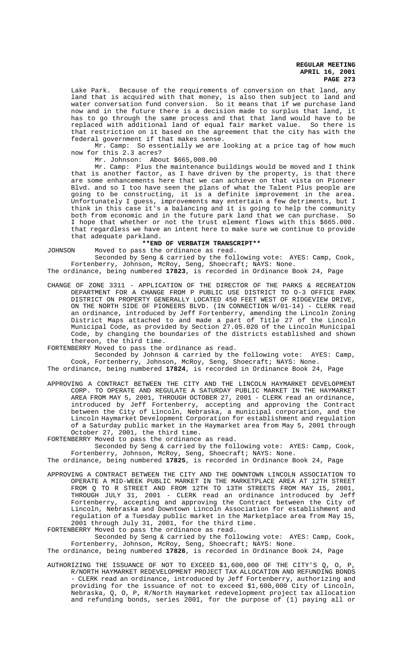Lake Park. Because of the requirements of conversion on that land, any land that is acquired with that money, is also then subject to land and water conversation fund conversion. So it means that if we purchase land now and in the future there is a decision made to surplus that land, it has to go through the same process and that that land would have to be replaced with additional land of equal fair market value. So there is that restriction on it based on the agreement that the city has with the federal government if that makes sense.

Mr. Camp: So essentially we are looking at a price tag of how much now for this 2.3 acres?

Mr. Johnson: About \$665,000.00

Mr. Camp: Plus the maintenance buildings would be moved and I think that is another factor, as I have driven by the property, is that there are some enhancements here that we can achieve on that vista on Pioneer Blvd. and so I too have seen the plans of what the Talent Plus people are going to be constructing, it is a definite improvement in the area. Unfortunately I guess, improvements may entertain a few detriments, but I think in this case it's a balancing and it is going to help the community both from economic and in the future park land that we can purchase. So I hope that whether or not the trust element flows with this \$665.000. that regardless we have an intent here to make sure we continue to provide that adequate parkland.

## **\*\*END OF VERBATIM TRANSCRIPT\*\***

JOHNSON Moved to pass the ordinance as read.

Seconded by Seng & carried by the following vote: AYES: Camp, Cook, Fortenberry, Johnson, McRoy, Seng, Shoecraft; NAYS: None.

The ordinance, being numbered **17823**, is recorded in Ordinance Book 24, Page

CHANGE OF ZONE 3311 - APPLICATION OF THE DIRECTOR OF THE PARKS & RECREATION DEPARTMENT FOR A CHANGE FROM P PUBLIC USE DISTRICT TO O-3 OFFICE PARK DISTRICT ON PROPERTY GENERALLY LOCATED 450 FEET WEST OF RIDGEVIEW DRIVE, ON THE NORTH SIDE OF PIONEERS BLVD. (IN CONNECTION W/01-14) - CLERK read an ordinance, introduced by Jeff Fortenberry, amending the Lincoln Zoning District Maps attached to and made a part of Title 27 of the Lincoln Municipal Code, as provided by Section 27.05.020 of the Lincoln Municipal Code, by changing the boundaries of the districts established and shown thereon, the third time.

FORTENBERRY Moved to pass the ordinance as read.

Seconded by Johnson & carried by the following vote: AYES: Camp, Cook, Fortenberry, Johnson, McRoy, Seng, Shoecraft; NAYS: None.

The ordinance, being numbered **17824**, is recorded in Ordinance Book 24, Page

APPROVING A CONTRACT BETWEEN THE CITY AND THE LINCOLN HAYMARKET DEVELOPMENT CORP. TO OPERATE AND REGULATE A SATURDAY PUBLIC MARKET IN THE HAYMARKET AREA FROM MAY 5, 2001, THROUGH OCTOBER 27, 2001 - CLERK read an ordinance, introduced by Jeff Fortenberry, accepting and approving the Contract between the City of Lincoln, Nebraska, a municipal corporation, and the Lincoln Haymarket Development Corporation for establishment and regulation of a Saturday public market in the Haymarket area from May 5, 2001 through October 27, 2001, the third time.

FORTENBERRY Moved to pass the ordinance as read.

Seconded by Seng & carried by the following vote: AYES: Camp, Cook, Fortenberry, Johnson, McRoy, Seng, Shoecraft; NAYS: None.

The ordinance, being numbered **17825**, is recorded in Ordinance Book 24, Page

APPROVING A CONTRACT BETWEEN THE CITY AND THE DOWNTOWN LINCOLN ASSOCIATION TO OPERATE A MID-WEEK PUBLIC MARKET IN THE MARKETPLACE AREA AT 12TH STREET FROM Q TO R STREET AND FROM 12TH TO 13TH STREETS FROM MAY 15, 2001, THROUGH JULY 31, 2001 - CLERK read an ordinance introduced by Jeff Fortenberry, accepting and approving the Contract between the City of Lincoln, Nebraska and Downtown Lincoln Association for establishment and regulation of a Tuesday public market in the Marketplace area from May 15, 2001 through July 31, 2001, for the third time. FORTENBERRY Moved to pass the ordinance as read.

Seconded by Seng & carried by the following vote: AYES: Camp, Cook, Fortenberry, Johnson, McRoy, Seng, Shoecraft; NAYS: None.

The ordinance, being numbered **17826**, is recorded in Ordinance Book 24, Page

AUTHORIZING THE ISSUANCE OF NOT TO EXCEED \$1,600,000 OF THE CITY'S Q, O, P, R/NORTH HAYMARKET REDEVELOPMENT PROJECT TAX ALLOCATION AND REFUNDING BONDS - CLERK read an ordinance, introduced by Jeff Fortenberry, authorizing and providing for the issuance of not to exceed \$1,600,000 City of Lincoln, Nebraska, Q, O, P, R/North Haymarket redevelopment project tax allocation and refunding bonds, series 2001, for the purpose of (1) paying all or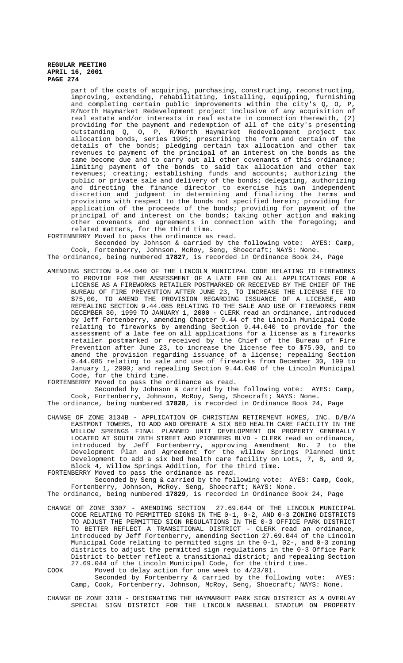part of the costs of acquiring, purchasing, constructing, reconstructing, improving, extending, rehabilitating, installing, equipping, furnishing and completing certain public improvements within the city's Q, O, P, R/North Haymarket Redevelopment project inclusive of any acquisition of real estate and/or interests in real estate in connection therewith, (2) providing for the payment and redemption of all of the city's presenting outstanding Q, O, P, R/North Haymarket Redevelopment project tax allocation bonds, series 1995; prescribing the form and certain of the details of the bonds; pledging certain tax allocation and other tax revenues to payment of the principal of an interest on the bonds as the same become due and to carry out all other covenants of this ordinance; limiting payment of the bonds to said tax allocation and other tax revenues; creating; establishing funds and accounts; authorizing the public or private sale and delivery of the bonds; delegating, authorizing and directing the finance director to exercise his own independent discretion and judgment in determining and finalizing the terms and provisions with respect to the bonds not specified herein; providing for application of the proceeds of the bonds; providing for payment of the principal of and interest on the bonds; taking other action and making other covenants and agreements in connection with the foregoing; and related matters, for the third time.

FORTENBERRY Moved to pass the ordinance as read.

Seconded by Johnson & carried by the following vote: AYES: Camp, Cook, Fortenberry, Johnson, McRoy, Seng, Shoecraft; NAYS: None.

The ordinance, being numbered **17827**, is recorded in Ordinance Book 24, Page

AMENDING SECTION 9.44.040 OF THE LINCOLN MUNICIPAL CODE RELATING TO FIREWORKS TO PROVIDE FOR THE ASSESSMENT OF A LATE FEE ON ALL APPLICATIONS FOR A LICENSE AS A FIREWORKS RETAILER POSTMARKED OR RECEIVED BY THE CHIEF OF THE BUREAU OF FIRE PREVENTION AFTER JUNE 23, TO INCREASE THE LICENSE FEE TO \$75,00, TO AMEND THE PROVISION REGARDING ISSUANCE OF A LICENSE, AND REPEALING SECTION 9.44.085 RELATING TO THE SALE AND USE OF FIREWORKS FROM DECEMBER 30, 1999 TO JANUARY 1, 2000 - CLERK read an ordinance, introduced by Jeff Fortenberry, amending Chapter 9.44 of the Lincoln Municipal Code relating to fireworks by amending Section 9.44.040 to provide for the assessment of a late fee on all applications for a license as a fireworks retailer postmarked or received by the Chief of the Bureau of Fire Prevention after June 23, to increase the license fee to \$75.00, and to amend the provision regarding issuance of a license; repealing Section 9.44.085 relating to sale and use of fireworks from December 30, 199 to January 1, 2000; and repealing Section 9.44.040 of the Lincoln Municipal Code, for the third time.

FORTENBERRY Moved to pass the ordinance as read.

Seconded by Johnson & carried by the following vote: AYES: Camp, Cook, Fortenberry, Johnson, McRoy, Seng, Shoecraft; NAYS: None. The ordinance, being numbered **17828**, is recorded in Ordinance Book 24, Page

- CHANGE OF ZONE 3134B APPLICATION OF CHRISTIAN RETIREMENT HOMES, INC. D/B/A EASTMONT TOWERS, TO ADD AND OPERATE A SIX BED HEALTH CARE FACILITY IN THE WILLOW SPRINGS FINAL PLANNED UNIT DEVELOPMENT ON PROPERTY GENERALLY LOCATED AT SOUTH 78TH STREET AND PIONEERS BLVD - CLERK read an ordinance, introduced by Jeff Fortenberry, approving Amendment No. 2 to the Development Plan and Agreement for the willow Springs Planned Unit Development to add a six bed health care facility on Lots, 7, 8, and 9, Block 4, Willow Springs Addition, for the third time.
- FORTENBERRY Moved to pass the ordinance as read. Seconded by Seng & carried by the following vote: AYES: Camp, Cook, Fortenberry, Johnson, McRoy, Seng, Shoecraft; NAYS: None.

The ordinance, being numbered **17829**, is recorded in Ordinance Book 24, Page

CHANGE OF ZONE 3307 - AMENDING SECTION 27.69.044 OF THE LINCOLN MUNICIPAL CODE RELATING TO PERMITTED SIGNS IN THE 0-1, 0-2, AND 0-3 ZONING DISTRICTS TO ADJUST THE PERMITTED SIGN REGULATIONS IN THE 0-3 OFFICE PARK DISTRICT TO BETTER REFLECT A TRANSITIONAL DISTRICT - CLERK read an ordinance, introduced by Jeff Fortenberry, amending Section 27.69.044 of the Lincoln Municipal Code relating to permitted signs in the 0-1, 02-, and 0-3 zoning districts to adjust the permitted sign regulations in the 0-3 Office Park District to better reflect a transitional district; and repealing Section 27.69.044 of the Lincoln Municipal Code, for the third time.

COOK Moved to delay action for one week to 4/23/01.

Seconded by Fortenberry & carried by the following vote: AYES: Camp, Cook, Fortenberry, Johnson, McRoy, Seng, Shoecraft; NAYS: None.

CHANGE OF ZONE 3310 - DESIGNATING THE HAYMARKET PARK SIGN DISTRICT AS A OVERLAY SPECIAL SIGN DISTRICT FOR THE LINCOLN BASEBALL STADIUM ON PROPERTY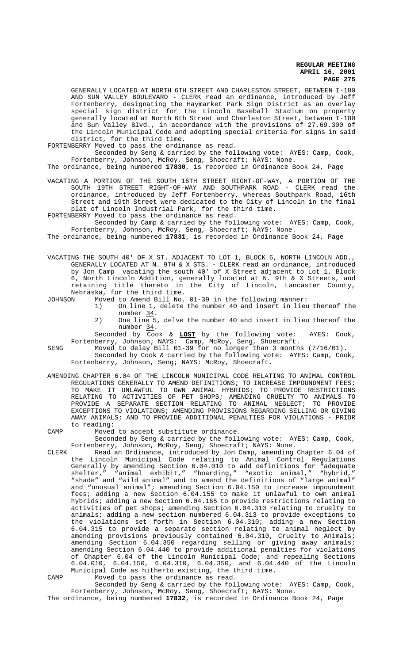GENERALLY LOCATED AT NORTH 6TH STREET AND CHARLESTON STREET, BETWEEN I-180 AND SUN VALLEY BOULEVARD - CLERK read an ordinance, introduced by Jeff Fortenberry, designating the Haymarket Park Sign District as an overlay special sign district for the Lincoln Baseball Stadium on property generally located at North 6th Street and Charleston Street, between I-180 and Sun Valley Blvd., in accordance with the provisions of 27.69.300 of the Lincoln Municipal Code and adopting special criteria for signs in said district, for the third time.

FORTENBERRY Moved to pass the ordinance as read.

Seconded by Seng & carried by the following vote: AYES: Camp, Cook, Fortenberry, Johnson, McRoy, Seng, Shoecraft; NAYS: None.

The ordinance, being numbered **17830**, is recorded in Ordinance Book 24, Page

VACATING A PORTION OF THE SOUTH 16TH STREET RIGHT-OF-WAY, A PORTION OF THE SOUTH 19TH STREET RIGHT-OF-WAY AND SOUTHPARK ROAD - CLERK read the ordinance, introduced by Jeff Fortenberry, whereas Southpark Road, 16th Street and 19th Street were dedicated to the City of Lincoln in the final plat of Lincoln Industrial Park, for the third time.

FORTENBERRY Moved to pass the ordinance as read.

Seconded by Camp & carried by the following vote: AYES: Camp, Cook, Fortenberry, Johnson, McRoy, Seng, Shoecraft; NAYS: None.

The ordinance, being numbered **17831**, is recorded in Ordinance Book 24, Page

VACATING THE SOUTH 40' OF X ST. ADJACENT TO LOT 1, BLOCK 6, NORTH LINCOLN ADD., GENERALLY LOCATED AT N. 9TH & X STS. - CLERK read an ordinance, introduced by Jon Camp vacating the south 40' of X Street adjacent to Lot 1, Block 6, North Lincoln Addition, generally located at N. 9th & X Streets, and retaining title thereto in the City of Lincoln, Lancaster County, Nebraska, for the third time.

JOHNSON Moved to Amend Bill No. 01-39 in the following manner:

- On line 1, delete the number 40 and insert in lieu thereof the number 34.
- 2) One line 5, delve the number 40 and insert in lieu thereof the number 34.

Seconded by Cook & **LOST** by the following vote: AYES: Cook, Fortenberry, Johnson; NAYS: Camp, McRoy, Seng, Shoecraft.

SENG Moved to delay Bill 01-39 for no longer than 3 months (7/16/01).

- Seconded by Cook & carried by the following vote: AYES: Camp, Cook, Fortenberry, Johnson, Seng; NAYS: McRoy, Shoecraft.
- AMENDING CHAPTER 6.04 OF THE LINCOLN MUNICIPAL CODE RELATING TO ANIMAL CONTROL REGULATIONS GENERALLY TO AMEND DEFINITIONS; TO INCREASE IMPOUNDMENT FEES; TO MAKE IT UNLAWFUL TO OWN ANIMAL HYBRIDS; TO PROVIDE RESTRICTIONS RELATING TO ACTIVITIES OF PET SHOPS; AMENDING CRUELTY TO ANIMALS TO PROVIDE A SEPARATE SECTION RELATING TO ANIMAL NEGLECT; TO PROVIDE EXCEPTIONS TO VIOLATIONS; AMENDING PROVISIONS REGARDING SELLING OR GIVING AWAY ANIMALS; AND TO PROVIDE ADDITIONAL PENALTIES FOR VIOLATIONS - PRIOR to reading:

CAMP Moved to accept substitute ordinance.

Seconded by Seng & carried by the following vote: AYES: Camp, Cook, Fortenberry, Johnson, McRoy, Seng, Shoecraft; NAYS: None.

CLERK Read an Ordinance, introduced by Jon Camp, amending Chapter 6.04 of the Lincoln Municipal Code relating to Animal Control Regulations Generally by amending Section 6.04.010 to add definitions for "adequate shelter," "animal exhibit," "boarding," "exotic animal," "hybrid," "shade" and "wild animal" and to amend the definitions of "large animal" and "unusual animal"; amending Section 6.04.150 to increase impoundment fees; adding a new Section 6.04.155 to make it unlawful to own animal hybrids; adding a new Section 6.04.165 to provide restrictions relating to activities of pet shops; amending Section 6.04.310 relating to cruelty to animals; adding a new section numbered 6.04.313 to provide exceptions to the violations set forth in Section 6.04.310; adding a new Section 6.04.315 to provide a separate section relating to animal neglect by amending provisions previously contained 6.04.310, Cruelty to Animals; amending Section 6.04.350 regarding selling or giving away animals; amending Section 6.04.440 to provide additional penalties for violations of Chapter 6.04 of the Lincoln Municipal Code; and repealing Sections 6.04.010, 6.04.150, 6.04.310, 6.04.350, and 6.04.440 of the Lincoln Municipal Code as hitherto existing, the third time.

CAMP Moved to pass the ordinance as read.

Seconded by Seng & carried by the following vote: AYES: Camp, Cook, Fortenberry, Johnson, McRoy, Seng, Shoecraft; NAYS: None.

The ordinance, being numbered **17832**, is recorded in Ordinance Book 24, Page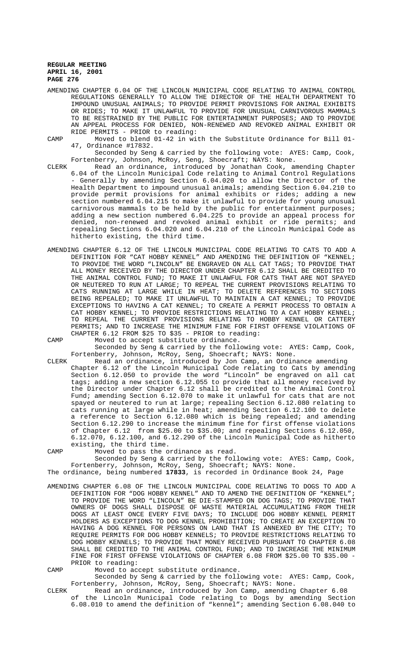AMENDING CHAPTER 6.04 OF THE LINCOLN MUNICIPAL CODE RELATING TO ANIMAL CONTROL REGULATIONS GENERALLY TO ALLOW THE DIRECTOR OF THE HEALTH DEPARTMENT TO IMPOUND UNUSUAL ANIMALS; TO PROVIDE PERMIT PROVISIONS FOR ANIMAL EXHIBITS OR RIDES; TO MAKE IT UNLAWFUL TO PROVIDE FOR UNUSUAL CARNIVOROUS MAMMALS TO BE RESTRAINED BY THE PUBLIC FOR ENTERTAINMENT PURPOSES; AND TO PROVIDE AN APPEAL PROCESS FOR DENIED, NON-RENEWED AND REVOKED ANIMAL EXHIBIT OR RIDE PERMITS - PRIOR to reading:

CAMP Moved to blend 01-42 in with the Substitute Ordinance for Bill 01- 47, Ordinance #17832.

Seconded by Seng & carried by the following vote: AYES: Camp, Cook, Fortenberry, Johnson, McRoy, Seng, Shoecraft; NAYS: None.

- CLERK Read an ordinance, introduced by Jonathan Cook, amending Chapter 6.04 of the Lincoln Municipal Code relating to Animal Control Regulations - Generally by amending Section 6.04.020 to allow the Director of the Health Department to impound unusual animals; amending Section 6.04.210 to provide permit provisions for animal exhibits or rides; adding a new section numbered 6.04.215 to make it unlawful to provide for young unusual carnivorous mammals to be held by the public for entertainment purposes; adding a new section numbered 6.04.225 to provide an appeal process for denied, non-renewed and revoked animal exhibit or ride permits; and repealing Sections 6.04.020 and 6.04.210 of the Lincoln Municipal Code as hitherto existing, the third time.
- AMENDING CHAPTER 6.12 OF THE LINCOLN MUNICIPAL CODE RELATING TO CATS TO ADD A DEFINITION FOR "CAT HOBBY KENNEL" AND AMENDING THE DEFINITION OF "KENNEL; TO PROVIDE THE WORD "LINCOLN" BE ENGRAVED ON ALL CAT TAGS; TO PROVIDE THAT ALL MONEY RECEIVED BY THE DIRECTOR UNDER CHAPTER 6.12 SHALL BE CREDITED TO THE ANIMAL CONTROL FUND; TO MAKE IT UNLAWFUL FOR CATS THAT ARE NOT SPAYED OR NEUTERED TO RUN AT LARGE; TO REPEAL THE CURRENT PROVISIONS RELATING TO CATS RUNNING AT LARGE WHILE IN HEAT; TO DELETE REFERENCES TO SECTIONS BEING REPEALED; TO MAKE IT UNLAWFUL TO MAINTAIN A CAT KENNEL; TO PROVIDE EXCEPTIONS TO HAVING A CAT KENNEL; TO CREATE A PERMIT PROCESS TO OBTAIN A CAT HOBBY KENNEL; TO PROVIDE RESTRICTIONS RELATING TO A CAT HOBBY KENNEL; TO REPEAL THE CURRENT PROVISIONS RELATING TO HOBBY KENNEL OR CATTERY PERMITS; AND TO INCREASE THE MINIMUM FINE FOR FIRST OFFENSE VIOLATIONS OF CHAPTER 6.12 FROM \$25 TO \$35 - PRIOR to reading:

CAMP Moved to accept substitute ordinance.

Seconded by Seng & carried by the following vote: AYES: Camp, Cook, Fortenberry, Johnson, McRoy, Seng, Shoecraft; NAYS: None.

CLERK Read an ordinance, introduced by Jon Camp, an Ordinance amending Chapter 6.12 of the Lincoln Municipal Code relating to Cats by amending Section 6.12.050 to provide the word "Lincoln" be engraved on all cat tags; adding a new section 6.12.055 to provide that all money received by the Director under Chapter 6.12 shall be credited to the Animal Control Fund; amending Section 6.12.070 to make it unlawful for cats that are not spayed or neutered to run at large; repealing Section 6.12.080 relating to cats running at large while in heat; amending Section 6.12.100 to delete a reference to Section 6.12.080 which is being repealed; and amending Section 6.12.290 to increase the minimum fine for first offense violations of Chapter 6.12 from \$25.00 to \$35.00; and repealing Sections 6.12.050, 6.12.070, 6.12.100, and 6.12.290 of the Lincoln Municipal Code as hitherto existing, the third time.

CAMP Moved to pass the ordinance as read.

Seconded by Seng & carried by the following vote: AYES: Camp, Cook, Fortenberry, Johnson, McRoy, Seng, Shoecraft; NAYS: None.

The ordinance, being numbered **17833**, is recorded in Ordinance Book 24, Page

AMENDING CHAPTER 6.08 OF THE LINCOLN MUNICIPAL CODE RELATING TO DOGS TO ADD A DEFINITION FOR "DOG HOBBY KENNEL" AND TO AMEND THE DEFINITION OF "KENNEL"; TO PROVIDE THE WORD "LINCOLN" BE DIE-STAMPED ON DOG TAGS; TO PROVIDE THAT OWNERS OF DOGS SHALL DISPOSE OF WASTE MATERIAL ACCUMULATING FROM THEIR DOGS AT LEAST ONCE EVERY FIVE DAYS; TO INCLUDE DOG HOBBY KENNEL PERMIT HOLDERS AS EXCEPTIONS TO DOG KENNEL PROHIBITION; TO CREATE AN EXCEPTION TO HAVING A DOG KENNEL FOR PERSONS ON LAND THAT IS ANNEXED BY THE CITY; TO REQUIRE PERMITS FOR DOG HOBBY KENNELS; TO PROVIDE RESTRICTIONS RELATING TO DOG HOBBY KENNELS; TO PROVIDE THAT MONEY RECEIVED PURSUANT TO CHAPTER 6.08 SHALL BE CREDITED TO THE ANIMAL CONTROL FUND; AND TO INCREASE THE MINIMUM FINE FOR FIRST OFFENSE VIOLATIONS OF CHAPTER 6.08 FROM \$25.00 TO \$35.00 -PRIOR to reading:

CAMP Moved to accept substitute ordinance.

Seconded by Seng & carried by the following vote: AYES: Camp, Cook, Fortenberry, Johnson, McRoy, Seng, Shoecraft; NAYS: None.

CLERK Read an ordinance, introduced by Jon Camp, amending Chapter 6.08 of the Lincoln Municipal Code relating to Dogs by amending Section 6.08.010 to amend the definition of "kennel"; amending Section 6.08.040 to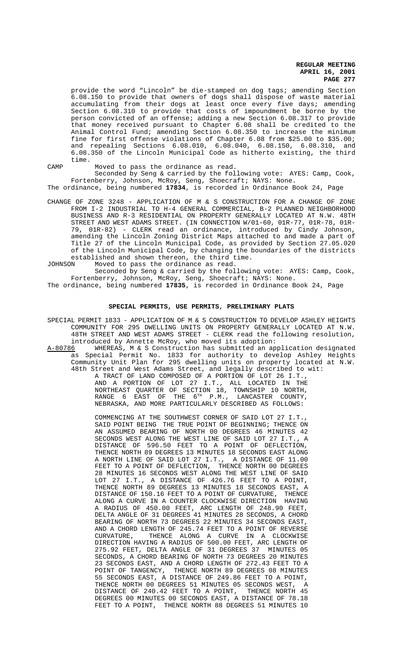provide the word "Lincoln" be die-stamped on dog tags; amending Section 6.08.150 to provide that owners of dogs shall dispose of waste material accumulating from their dogs at least once every five days; amending Section 6.08.310 to provide that costs of impoundment be borne by the person convicted of an offense; adding a new Section 6.08.317 to provide that money received pursuant to Chapter 6.08 shall be credited to the Animal Control Fund; amending Section 6.08.350 to increase the minimum fine for first offense violations of Chapter 6.08 from \$25.00 to \$35.00; and repealing Sections 6.08.010, 6.08.040, 6.08.150, 6.08.310, and 6.08.350 of the Lincoln Municipal Code as hitherto existing, the third time.

CAMP Moved to pass the ordinance as read.

Seconded by Seng & carried by the following vote: AYES: Camp, Cook, Fortenberry, Johnson, McRoy, Seng, Shoecraft; NAYS: None.

The ordinance, being numbered **17834**, is recorded in Ordinance Book 24, Page

- CHANGE OF ZONE 3248 APPLICATION OF M & S CONSTRUCTION FOR A CHANGE OF ZONE FROM I-2 INDUSTRIAL TO H-4 GENERAL COMMERCIAL, B-2 PLANNED NEIGHBORHOOD BUSINESS AND R-3 RESIDENTIAL ON PROPERTY GENERALLY LOCATED AT N.W. 48TH STREET AND WEST ADAMS STREET. (IN CONNECTION W/01-60, 01R-77, 01R-78, 01R-79, 01R-82) - CLERK read an ordinance, introduced by Cindy Johnson, amending the Lincoln Zoning District Maps attached to and made a part of Title 27 of the Lincoln Municipal Code, as provided by Section 27.05.020 of the Lincoln Municipal Code, by changing the boundaries of the districts established and shown thereon, the third time.<br>JOHNSON Moved to pass the ordinance as read. Moved to pass the ordinance as read.
- Seconded by Seng & carried by the following vote: AYES: Camp, Cook, Fortenberry, Johnson, McRoy, Seng, Shoecraft; NAYS: None.

The ordinance, being numbered **17835**, is recorded in Ordinance Book 24, Page

#### **SPECIAL PERMITS, USE PERMITS**, **PRELIMINARY PLATS**

SPECIAL PERMIT 1833 - APPLICATION OF M & S CONSTRUCTION TO DEVELOP ASHLEY HEIGHTS COMMUNITY FOR 295 DWELLING UNITS ON PROPERTY GENERALLY LOCATED AT N.W. 48TH STREET AND WEST ADAMS STREET - CLERK read the following resolution, introduced by Annette McRoy, who moved its adoption:

A-80786 WHEREAS, M & S Construction has submitted an application designated as Special Permit No. 1833 for authority to develop Ashley Heights Community Unit Plan for 295 dwelling units on property located at N.W. 48th Street and West Adams Street, and legally described to wit:

A TRACT OF LAND COMPOSED OF A PORTION OF LOT 26 I.T., AND A PORTION OF LOT 27 I.T., ALL LOCATED IN THE NORTHEAST QUARTER OF SECTION 18, TOWNSHIP 10 NORTH, RANGE 6 EAST OF THE  $6^{TH}$  P.M., LANCASTER COUNTY, NEBRASKA, AND MORE PARTICULARLY DESCRIBED AS FOLLOWS:

COMMENCING AT THE SOUTHWEST CORNER OF SAID LOT 27 I.T., SAID POINT BEING THE TRUE POINT OF BEGINNING; THENCE ON AN ASSUMED BEARING OF NORTH 00 DEGREES 46 MINUTES 42 SECONDS WEST ALONG THE WEST LINE OF SAID LOT 27 I.T., A DISTANCE OF 596.50 FEET TO A POINT OF DEFLECTION, THENCE NORTH 89 DEGREES 13 MINUTES 18 SECONDS EAST ALONG A NORTH LINE OF SAID LOT 27 I.T., A DISTANCE OF 11.00 FEET TO A POINT OF DEFLECTION, THENCE NORTH 00 DEGREES 28 MINUTES 16 SECONDS WEST ALONG THE WEST LINE OF SAID LOT 27 I.T., A DISTANCE OF 426.76 FEET TO A POINT, THENCE NORTH 89 DEGREES 13 MINUTES 18 SECONDS EAST, A DISTANCE OF 150.16 FEET TO A POINT OF CURVATURE, THENCE ALONG A CURVE IN A COUNTER CLOCKWISE DIRECTION HAVING A RADIUS OF 450.00 FEET, ARC LENGTH OF 248.90 FEET, DELTA ANGLE OF 31 DEGREES 41 MINUTES 28 SECONDS, A CHORD BEARING OF NORTH 73 DEGREES 22 MINUTES 34 SECONDS EAST, AND A CHORD LENGTH OF 245.74 FEET TO A POINT OF REVERSE CURVATURE, THENCE ALONG A CURVE IN A CLOCKWISE DIRECTION HAVING A RADIUS OF 500.00 FEET, ARC LENGTH OF 275.92 FEET, DELTA ANGLE OF 31 DEGREES 37 MINUTES 05 SECONDS, A CHORD BEARING OF NORTH 73 DEGREES 20 MINUTES 23 SECONDS EAST, AND A CHORD LENGTH OF 272.43 FEET TO A POINT OF TANGENCY, THENCE NORTH 89 DEGREES 08 MINUTES 55 SECONDS EAST, A DISTANCE OF 249.86 FEET TO A POINT, THENCE NORTH 00 DEGREES 51 MINUTES 05 SECONDS WEST, A DISTANCE OF 240.42 FEET TO A POINT, THENCE NORTH 45 DEGREES 00 MINUTES 00 SECONDS EAST, A DISTANCE OF 78.18 FEET TO A POINT, THENCE NORTH 88 DEGREES 51 MINUTES 10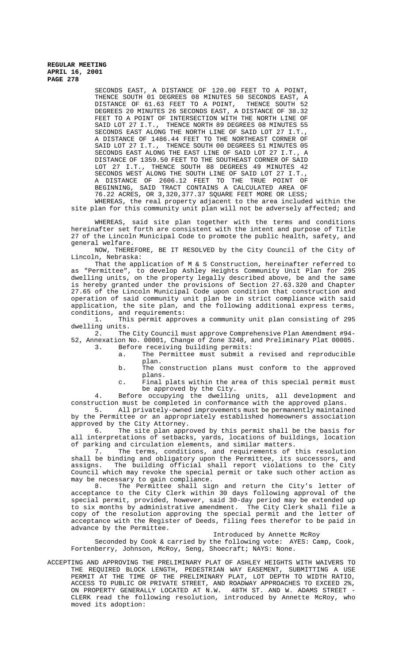SECONDS EAST, A DISTANCE OF 120.00 FEET TO A POINT, THENCE SOUTH 01 DEGREES 08 MINUTES 50 SECONDS EAST, A DISTANCE OF 61.63 FEET TO A POINT, THENCE SOUTH 52 DEGREES 20 MINUTES 26 SECONDS EAST, A DISTANCE OF 38.32 FEET TO A POINT OF INTERSECTION WITH THE NORTH LINE OF SAID LOT 27 I.T., THENCE NORTH 89 DEGREES 08 MINUTES 55 SECONDS EAST ALONG THE NORTH LINE OF SAID LOT 27 I.T., A DISTANCE OF 1486.44 FEET TO THE NORTHEAST CORNER OF SAID LOT 27 I.T., THENCE SOUTH 00 DEGREES 51 MINUTES 05 SECONDS EAST ALONG THE EAST LINE OF SAID LOT 27 I.T., A DISTANCE OF 1359.50 FEET TO THE SOUTHEAST CORNER OF SAID LOT 27 I.T., THENCE SOUTH 88 DEGREES 49 MINUTES 42 SECONDS WEST ALONG THE SOUTH LINE OF SAID LOT 27 I.T., A DISTANCE OF 2606.12 FEET TO THE TRUE POINT OF BEGINNING, SAID TRACT CONTAINS A CALCULATED AREA OF 76.22 ACRES, OR 3,320,377.37 SQUARE FEET MORE OR LESS;

WHEREAS, the real property adjacent to the area included within the site plan for this community unit plan will not be adversely affected; and

WHEREAS, said site plan together with the terms and conditions hereinafter set forth are consistent with the intent and purpose of Title 27 of the Lincoln Municipal Code to promote the public health, safety, and general welfare.

NOW, THEREFORE, BE IT RESOLVED by the City Council of the City of Lincoln, Nebraska:

That the application of M & S Construction, hereinafter referred to as "Permittee", to develop Ashley Heights Community Unit Plan for 295 dwelling units, on the property legally described above, be and the same is hereby granted under the provisions of Section 27.63.320 and Chapter 27.65 of the Lincoln Municipal Code upon condition that construction and operation of said community unit plan be in strict compliance with said application, the site plan, and the following additional express terms, conditions, and requirements:<br>1. This permit appro

This permit approves a community unit plan consisting of 295 dwelling units.<br>2. The

2. The City Council must approve Comprehensive Plan Amendment #94- 52, Annexation No. 00001, Change of Zone 3248, and Preliminary Plat 00005.

3. Before receiving building permits:

- a. The Permittee must submit a revised and reproducible plan.
- b. The construction plans must conform to the approved plans.
- c. Final plats within the area of this special permit must be approved by the City.

4. Before occupying the dwelling units, all development and construction must be completed in conformance with the approved plans.

5. All privately-owned improvements must be permanently maintained by the Permittee or an appropriately established homeowners association approved by the City Attorney.

6. The site plan approved by this permit shall be the basis for all interpretations of setbacks, yards, locations of buildings, location of parking and circulation elements, and similar matters.

7. The terms, conditions, and requirements of this resolution shall be binding and obligatory upon the Permittee, its successors, and assigns. The building official shall report violations to the City Council which may revoke the special permit or take such other action as may be necessary to gain compliance.<br>8. The Permittee shall sig

The Permittee shall sign and return the City's letter of acceptance to the City Clerk within 30 days following approval of the special permit, provided, however, said 30-day period may be extended up to six months by administrative amendment. The City Clerk shall file a copy of the resolution approving the special permit and the letter of acceptance with the Register of Deeds, filing fees therefor to be paid in advance by the Permittee.

Introduced by Annette McRoy

Seconded by Cook & carried by the following vote: AYES: Camp, Cook, Fortenberry, Johnson, McRoy, Seng, Shoecraft; NAYS: None.

ACCEPTING AND APPROVING THE PRELIMINARY PLAT OF ASHLEY HEIGHTS WITH WAIVERS TO THE REQUIRED BLOCK LENGTH, PEDESTRIAN WAY EASEMENT, SUBMITTING A USE PERMIT AT THE TIME OF THE PRELIMINARY PLAT, LOT DEPTH TO WIDTH RATIO, ACCESS TO PUBLIC OR PRIVATE STREET, AND ROADWAY APPROACHES TO EXCEED 2%, ON PROPERTY GENERALLY LOCATED AT N.W. 48TH ST. AND W. ADAMS STREET - CLERK read the following resolution, introduced by Annette McRoy, who moved its adoption: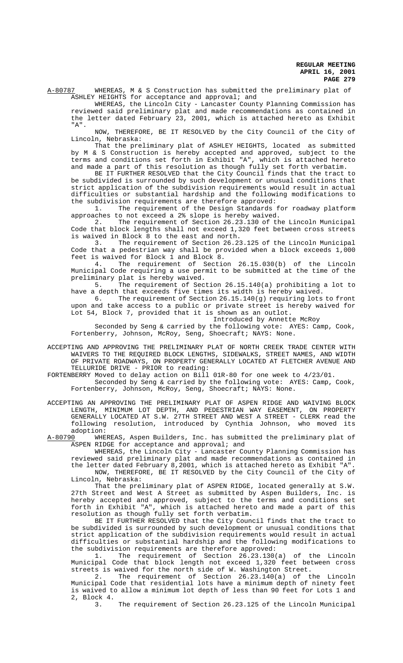A-80787 WHEREAS, M & S Construction has submitted the preliminary plat of ASHLEY HEIGHTS for acceptance and approval; and

WHEREAS, the Lincoln City - Lancaster County Planning Commission has reviewed said preliminary plat and made recommendations as contained in the letter dated February 23, 2001, which is attached hereto as Exhibit "A".

NOW, THEREFORE, BE IT RESOLVED by the City Council of the City of Lincoln, Nebraska:

That the preliminary plat of ASHLEY HEIGHTS, located as submitted by M & S Construction is hereby accepted and approved, subject to the terms and conditions set forth in Exhibit "A", which is attached hereto and made a part of this resolution as though fully set forth verbatim.

BE IT FURTHER RESOLVED that the City Council finds that the tract to be subdivided is surrounded by such development or unusual conditions that strict application of the subdivision requirements would result in actual difficulties or substantial hardship and the following modifications to the subdivision requirements are therefore approved:

1. The requirement of the Design Standards for roadway platform approaches to not exceed a 2% slope is hereby waived.<br>2. The requirement of Section 26.23.130 of the

The requirement of Section 26.23.130 of the Lincoln Municipal Code that block lengths shall not exceed 1,320 feet between cross streets is waived in Block 8 to the east and north.<br>3. The requirement of Section 26.23

The requirement of Section 26.23.125 of the Lincoln Municipal Code that a pedestrian way shall be provided when a block exceeds  $1,000$ feet is waived for Block 1 and Block 8.

4. The requirement of Section 26.15.030(b) of the Lincoln Municipal Code requiring a use permit to be submitted at the time of the preliminary plat is hereby waived.

5. The requirement of Section 26.15.140(a) prohibiting a lot to have a depth that exceeds five times its width is hereby waived.

6. The requirement of Section 26.15.140(g) requiring lots to front upon and take access to a public or private street is hereby waived for Lot 54, Block 7, provided that it is shown as an outlot.

Introduced by Annette McRoy

Seconded by Seng & carried by the following vote: AYES: Camp, Cook, Fortenberry, Johnson, McRoy, Seng, Shoecraft; NAYS: None.

ACCEPTING AND APPROVING THE PRELIMINARY PLAT OF NORTH CREEK TRADE CENTER WITH WAIVERS TO THE REQUIRED BLOCK LENGTHS, SIDEWALKS, STREET NAMES, AND WIDTH OF PRIVATE ROADWAYS, ON PROPERTY GENERALLY LOCATED AT FLETCHER AVENUE AND TELLURIDE DRIVE - PRIOR to reading:

FORTENBERRY Moved to delay action on Bill 01R-80 for one week to 4/23/01.

Seconded by Seng & carried by the following vote: AYES: Camp, Cook, Fortenberry, Johnson, McRoy, Seng, Shoecraft; NAYS: None.

ACCEPTING AN APPROVING THE PRELIMINARY PLAT OF ASPEN RIDGE AND WAIVING BLOCK LENGTH, MINIMUM LOT DEPTH, AND PEDESTRIAN WAY EASEMENT, ON PROPERTY GENERALLY LOCATED AT S.W. 27TH STREET AND WEST A STREET - CLERK read the following resolution, introduced by Cynthia Johnson, who moved its adoption:<br>A-80790 WHE

A-80790 MHEREAS, Aspen Builders, Inc. has submitted the preliminary plat of ASPEN RIDGE for acceptance and approval; and

WHEREAS, the Lincoln City - Lancaster County Planning Commission has reviewed said preliminary plat and made recommendations as contained in the letter dated February 8,2001, which is attached hereto as Exhibit "A". NOW, THEREFORE, BE IT RESOLVED by the City Council of the City of

Lincoln, Nebraska:

That the preliminary plat of ASPEN RIDGE, located generally at S.W. 27th Street and West A Street as submitted by Aspen Builders, Inc. is hereby accepted and approved, subject to the terms and conditions set forth in Exhibit "A", which is attached hereto and made a part of this resolution as though fully set forth verbatim.

BE IT FURTHER RESOLVED that the City Council finds that the tract to be subdivided is surrounded by such development or unusual conditions that strict application of the subdivision requirements would result in actual difficulties or substantial hardship and the following modifications to the subdivision requirements are therefore approved:

1. The requirement of Section 26.23.130(a) of the Lincoln Municipal Code that block length not exceed 1,320 feet between cross streets is waived for the north side of W. Washington Street.

2. The requirement of Section 26.23.140(a) of the Lincoln Municipal Code that residential lots have a minimum depth of ninety feet is waived to allow a minimum lot depth of less than 90 feet for Lots 1 and 2, Block 4.

3. The requirement of Section 26.23.125 of the Lincoln Municipal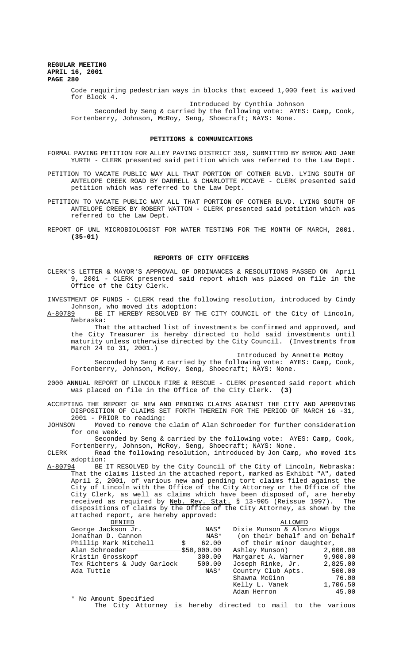> Code requiring pedestrian ways in blocks that exceed 1,000 feet is waived for Block 4.

Introduced by Cynthia Johnson Seconded by Seng & carried by the following vote: AYES: Camp, Cook,

Fortenberry, Johnson, McRoy, Seng, Shoecraft; NAYS: None.

### **PETITIONS & COMMUNICATIONS**

FORMAL PAVING PETITION FOR ALLEY PAVING DISTRICT 359, SUBMITTED BY BYRON AND JANE YURTH - CLERK presented said petition which was referred to the Law Dept.

PETITION TO VACATE PUBLIC WAY ALL THAT PORTION OF COTNER BLVD. LYING SOUTH OF ANTELOPE CREEK ROAD BY DARRELL & CHARLOTTE MCCAVE - CLERK presented said petition which was referred to the Law Dept.

PETITION TO VACATE PUBLIC WAY ALL THAT PORTION OF COTNER BLVD. LYING SOUTH OF ANTELOPE CREEK BY ROBERT WATTON - CLERK presented said petition which was referred to the Law Dept.

REPORT OF UNL MICROBIOLOGIST FOR WATER TESTING FOR THE MONTH OF MARCH, 2001. **(35-01)**

#### **REPORTS OF CITY OFFICERS**

CLERK'S LETTER & MAYOR'S APPROVAL OF ORDINANCES & RESOLUTIONS PASSED ON April 9, 2001 - CLERK presented said report which was placed on file in the Office of the City Clerk.

INVESTMENT OF FUNDS - CLERK read the following resolution, introduced by Cindy Johnson, who moved its adoption:

A-80789 BE IT HEREBY RESOLVED BY THE CITY COUNCIL of the City of Lincoln, Nebraska:

That the attached list of investments be confirmed and approved, and the City Treasurer is hereby directed to hold said investments until maturity unless otherwise directed by the City Council. (Investments from March 24 to 31, 2001.)

Introduced by Annette McRoy

Seconded by Seng & carried by the following vote: AYES: Camp, Cook, Fortenberry, Johnson, McRoy, Seng, Shoecraft; NAYS: None.

2000 ANNUAL REPORT OF LINCOLN FIRE & RESCUE - CLERK presented said report which was placed on file in the Office of the City Clerk. **(3)**

ACCEPTING THE REPORT OF NEW AND PENDING CLAIMS AGAINST THE CITY AND APPROVING DISPOSITION OF CLAIMS SET FORTH THEREIN FOR THE PERIOD OF MARCH 16 -31, 2001 - PRIOR to reading:<br>JOHNSON Moved to remove the

Moved to remove the claim of Alan Schroeder for further consideration for one week.

Seconded by Seng & carried by the following vote: AYES: Camp, Cook, Fortenberry, Johnson, McRoy, Seng, Shoecraft; NAYS: None.

CLERK Read the following resolution, introduced by Jon Camp, who moved its adoption:<br>: A-80794 BE

BE IT RESOLVED by the City Council of the City of Lincoln, Nebraska: That the claims listed in the attached report, marked as Exhibit "A", dated April 2, 2001, of various new and pending tort claims filed against the City of Lincoln with the Office of the City Attorney or the Office of the City Clerk, as well as claims which have been disposed of, are hereby received as required by <u>Neb. Rev. Stat.</u> § 13-905 (Reissue 1997). The dispositions of claims by the Office of the City Attorney, as shown by the attached report, are hereby approved:

| DENIED                      |                        | ALLOWED                       |          |
|-----------------------------|------------------------|-------------------------------|----------|
| George Jackson Jr.          | NAS*                   | Dixie Munson & Alonzo Wiggs   |          |
| Jonathan D. Cannon          | NAS*                   | on their behalf and on behalf |          |
| Phillip Mark Mitchell       | 62.00                  | of their minor daughter,      |          |
| <del>Alan Schroeder</del>   | <del>\$50,000.00</del> | Ashley Munson)                | 2,000.00 |
| Kristin Grosskopf           | 300.00                 | Margaret A. Warner            | 9,900.00 |
| Tex Richters & Judy Garlock | 500.00                 | Joseph Rinke, Jr.             | 2,825.00 |
| Ada Tuttle                  | NAS*                   | Country Club Apts.            | 500.00   |
|                             |                        | Shawna McGinn                 | 76.00    |
|                             |                        | Kelly L. Vanek                | 1,706.50 |
|                             |                        | Adam Herron                   | 45.00    |
| * No Amount Specified       |                        |                               |          |

The City Attorney is hereby directed to mail to the various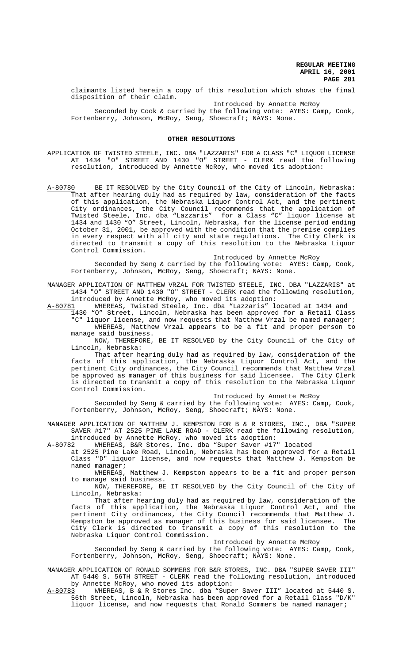claimants listed herein a copy of this resolution which shows the final disposition of their claim.

 Introduced by Annette McRoy Seconded by Cook & carried by the following vote: AYES: Camp, Cook, Fortenberry, Johnson, McRoy, Seng, Shoecraft; NAYS: None.

#### **OTHER RESOLUTIONS**

APPLICATION OF TWISTED STEELE, INC. DBA "LAZZARIS" FOR A CLASS "C" LIQUOR LICENSE AT 1434 "O" STREET AND 1430 "O" STREET - CLERK read the following resolution, introduced by Annette McRoy, who moved its adoption:

A-80780 BE IT RESOLVED by the City Council of the City of Lincoln, Nebraska: That after hearing duly had as required by law, consideration of the facts of this application, the Nebraska Liquor Control Act, and the pertinent City ordinances, the City Council recommends that the application of Twisted Steele, Inc. dba "Lazzaris" for a Class "C" liquor license at 1434 and 1430 "O" Street, Lincoln, Nebraska, for the license period ending October 31, 2001, be approved with the condition that the premise complies in every respect with all city and state regulations. The City Clerk is directed to transmit a copy of this resolution to the Nebraska Liquor Control Commission.

Introduced by Annette McRoy Seconded by Seng & carried by the following vote: AYES: Camp, Cook, Fortenberry, Johnson, McRoy, Seng, Shoecraft; NAYS: None.

MANAGER APPLICATION OF MATTHEW VRZAL FOR TWISTED STEELE, INC. DBA "LAZZARIS" at 1434 "O" STREET AND 1430 "O" STREET - CLERK read the following resolution, introduced by Annette McRoy, who moved its adoption:

A-80781 WHEREAS, Twisted Steele, Inc. dba "Lazzaris" located at 1434 and

1430 "O" Street, Lincoln, Nebraska has been approved for a Retail Class "C" liquor license, and now requests that Matthew Vrzal be named manager; WHEREAS, Matthew Vrzal appears to be a fit and proper person to manage said business.

NOW, THEREFORE, BE IT RESOLVED by the City Council of the City of Lincoln, Nebraska:

That after hearing duly had as required by law, consideration of the facts of this application, the Nebraska Liquor Control Act, and the pertinent City ordinances, the City Council recommends that Matthew Vrzal be approved as manager of this business for said licensee. The City Clerk is directed to transmit a copy of this resolution to the Nebraska Liquor Control Commission.

Introduced by Annette McRoy Seconded by Seng & carried by the following vote: AYES: Camp, Cook, Fortenberry, Johnson, McRoy, Seng, Shoecraft; NAYS: None.

MANAGER APPLICATION OF MATTHEW J. KEMPSTON FOR B & R STORES, INC., DBA "SUPER SAVER #17" AT 2525 PINE LAKE ROAD - CLERK read the following resolution,

introduced by Annette McRoy, who moved its adoption:<br>A-80782 WHEREAS, B&R Stores, Inc. dba "Super Saver #17 WHEREAS, B&R Stores, Inc. dba "Super Saver #17" located

at 2525 Pine Lake Road, Lincoln, Nebraska has been approved for a Retail Class "D" liquor license, and now requests that Matthew J. Kempston be named manager;

WHEREAS, Matthew J. Kempston appears to be a fit and proper person to manage said business.

NOW, THEREFORE, BE IT RESOLVED by the City Council of the City of Lincoln, Nebraska:

That after hearing duly had as required by law, consideration of the facts of this application, the Nebraska Liquor Control Act, and the pertinent City ordinances, the City Council recommends that Matthew J.<br>Kempston be approved as manager of this business for said licensee. The Kempston be approved as manager of this business for said licensee. City Clerk is directed to transmit a copy of this resolution to the Nebraska Liquor Control Commission.

Introduced by Annette McRoy

Seconded by Seng & carried by the following vote: AYES: Camp, Cook, Fortenberry, Johnson, McRoy, Seng, Shoecraft; NAYS: None.

MANAGER APPLICATION OF RONALD SOMMERS FOR B&R STORES, INC. DBA "SUPER SAVER III" AT 5440 S. 56TH STREET - CLERK read the following resolution, introduced by Annette McRoy, who moved its adoption:

A-80783 WHEREAS, B & R Stores Inc. dba "Super Saver III" located at 5440 S. A-80783 WHEREAS, B & R Stores Inc. dba "Super Saver III" located at 5440 S.<br>56th Street, Lincoln, Nebraska has been approved for a Retail Class "D/K" liquor license, and now requests that Ronald Sommers be named manager;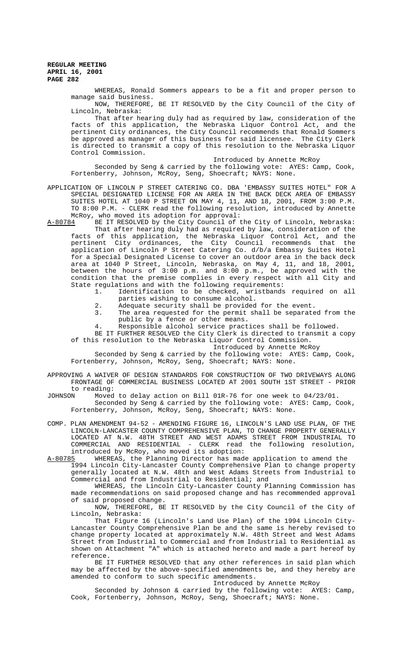WHEREAS, Ronald Sommers appears to be a fit and proper person to manage said business.

NOW, THEREFORE, BE IT RESOLVED by the City Council of the City of Lincoln, Nebraska:

That after hearing duly had as required by law, consideration of the facts of this application, the Nebraska Liquor Control Act, and the pertinent City ordinances, the City Council recommends that Ronald Sommers be approved as manager of this business for said licensee. The City Clerk is directed to transmit a copy of this resolution to the Nebraska Liquor Control Commission.

### Introduced by Annette McRoy

Seconded by Seng & carried by the following vote: AYES: Camp, Cook, Fortenberry, Johnson, McRoy, Seng, Shoecraft; NAYS: None.

APPLICATION OF LINCOLN P STREET CATERING CO. DBA 'EMBASSY SUITES HOTEL" FOR A SPECIAL DESIGNATED LICENSE FOR AN AREA IN THE BACK DECK AREA OF EMBASSY SUITES HOTEL AT 1040 P STREET ON MAY 4, 11, AND 18, 2001, FROM 3:00 P.M. TO 8:00 P.M. - CLERK read the following resolution, introduced by Annette McRoy, who moved its adoption for approval:<br>A-80784 BE IT RESOLVED by the City Council of t

BE IT RESOLVED by the City Council of the City of Lincoln, Nebraska: That after hearing duly had as required by law, consideration of the facts of this application, the Nebraska Liquor Control Act, and the pertinent City ordinances, the City Council recommends that the application of Lincoln P Street Catering Co. d/b/a Embassy Suites Hotel for a Special Designated License to cover an outdoor area in the back deck area at 1040 P Street, Lincoln, Nebraska, on May 4, 11, and 18, 2001, between the hours of 3:00 p.m. and 8:00 p.m., be approved with the condition that the premise complies in every respect with all City and State regulations and with the following requirements:

1. Identification to be checked, wristbands required on all parties wishing to consume alcohol.

- 2. Adequate security shall be provided for the event.
- 3. The area requested for the permit shall be separated from the public by a fence or other means.
- 4. Responsible alcohol service practices shall be followed.

BE IT FURTHER RESOLVED the City Clerk is directed to transmit a copy of this resolution to the Nebraska Liquor Control Commission.

### Introduced by Annette McRoy

Seconded by Seng & carried by the following vote: AYES: Camp, Cook, Fortenberry, Johnson, McRoy, Seng, Shoecraft; NAYS: None.

APPROVING A WAIVER OF DESIGN STANDARDS FOR CONSTRUCTION OF TWO DRIVEWAYS ALONG FRONTAGE OF COMMERCIAL BUSINESS LOCATED AT 2001 SOUTH 1ST STREET - PRIOR to reading:<br>JOHNSON Moved

Moved to delay action on Bill 01R-76 for one week to 04/23/01.

Seconded by Seng & carried by the following vote: AYES: Camp, Cook, Fortenberry, Johnson, McRoy, Seng, Shoecraft; NAYS: None.

COMP. PLAN AMENDMENT 94-52 - AMENDING FIGURE 16, LINCOLN'S LAND USE PLAN, OF THE LINCOLN-LANCASTER COUNTY COMPREHENSIVE PLAN, TO CHANGE PROPERTY GENERALLY LOCATED AT N.W. 48TH STREET AND WEST ADAMS STREET FROM INDUSTRIAL TO COMMERCIAL AND RESIDENTIAL - CLERK read the following resolution, introduced by McRoy, who moved its adoption:

A-80785 WHEREAS, the Planning Director has made application to amend the

1994 Lincoln City-Lancaster County Comprehensive Plan to change property generally located at N.W. 48th and West Adams Streets from Industrial to Commercial and from Industrial to Residential; and

WHEREAS, the Lincoln City-Lancaster County Planning Commission has made recommendations on said proposed change and has recommended approval of said proposed change.

NOW, THEREFORE, BE IT RESOLVED by the City Council of the City of Lincoln, Nebraska:

That Figure 16 (Lincoln's Land Use Plan) of the 1994 Lincoln City-Lancaster County Comprehensive Plan be and the same is hereby revised to change property located at approximately N.W. 48th Street and West Adams Street from Industrial to Commercial and from Industrial to Residential as shown on Attachment "A" which is attached hereto and made a part hereof by reference.

BE IT FURTHER RESOLVED that any other references in said plan which may be affected by the above-specified amendments be, and they hereby are amended to conform to such specific amendments.

Introduced by Annette McRoy

Seconded by Johnson & carried by the following vote: AYES: Camp, Cook, Fortenberry, Johnson, McRoy, Seng, Shoecraft; NAYS: None.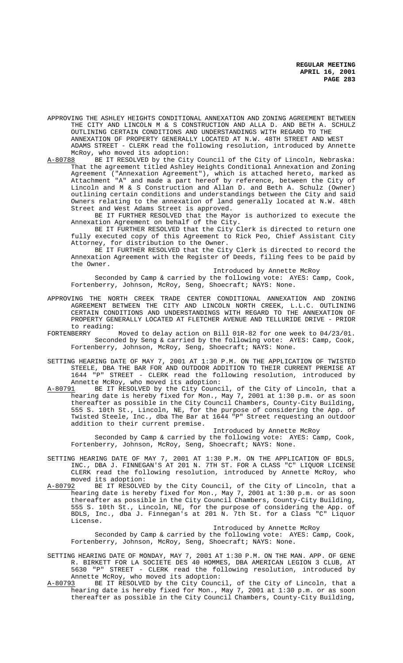APPROVING THE ASHLEY HEIGHTS CONDITIONAL ANNEXATION AND ZONING AGREEMENT BETWEEN THE CITY AND LINCOLN M & S CONSTRUCTION AND ALLA D. AND BETH A. SCHULZ OUTLINING CERTAIN CONDITIONS AND UNDERSTANDINGS WITH REGARD TO THE ANNEXATION OF PROPERTY GENERALLY LOCATED AT N.W. 48TH STREET AND WEST

ADAMS STREET - CLERK read the following resolution, introduced by Annette McRoy, who moved its adoption:<br>A-80788 BE IT RESOLVED by the Cit

A-80788 BE IT RESOLVED by the City Council of the City of Lincoln, Nebraska: That the agreement titled Ashley Heights Conditional Annexation and Zoning Agreement ("Annexation Agreement"), which is attached hereto, marked as Attachment "A" and made a part hereof by reference, between the City of Lincoln and M & S Construction and Allan D. and Beth A. Schulz (Owner) outlining certain conditions and understandings between the City and said Owners relating to the annexation of land generally located at N.W. 48th Street and West Adams Street is approved.

BE IT FURTHER RESOLVED that the Mayor is authorized to execute the Annexation Agreement on behalf of the City.

BE IT FURTHER RESOLVED that the City Clerk is directed to return one fully executed copy of this Agreement to Rick Peo, Chief Assistant City Attorney, for distribution to the Owner.

BE IT FURTHER RESOLVED that the City Clerk is directed to record the Annexation Agreement with the Register of Deeds, filing fees to be paid by the Owner.

Introduced by Annette McRoy

Seconded by Camp & carried by the following vote: AYES: Camp, Cook, Fortenberry, Johnson, McRoy, Seng, Shoecraft; NAYS: None.

- APPROVING THE NORTH CREEK TRADE CENTER CONDITIONAL ANNEXATION AND ZONING AGREEMENT BETWEEN THE CITY AND LINCOLN NORTH CREEK, L.L.C. OUTLINING CERTAIN CONDITIONS AND UNDERSTANDINGS WITH REGARD TO THE ANNEXATION OF PROPERTY GENERALLY LOCATED AT FLETCHER AVENUE AND TELLURIDE DRIVE - PRIOR to reading:<br>FORTENBERRY
- Moved to delay action on Bill 01R-82 for one week to 04/23/01. Seconded by Seng & carried by the following vote: AYES: Camp, Cook, Fortenberry, Johnson, McRoy, Seng, Shoecraft; NAYS: None.
- SETTING HEARING DATE OF MAY 7, 2001 AT 1:30 P.M. ON THE APPLICATION OF TWISTED STEELE, DBA THE BAR FOR AND OUTDOOR ADDITION TO THEIR CURRENT PREMISE AT 1644 "P" STREET - CLERK read the following resolution, introduced by Annette McRoy, who moved its adoption:<br>A-80791 BE IT RESOLVED by the City Counc.
- A-80791 BE IT RESOLVED by the City Council, of the City of Lincoln, that a hearing date is hereby fixed for Mon., May 7, 2001 at 1:30 p.m. or as soon thereafter as possible in the City Council Chambers, County-City Building, 555 S. 10th St., Lincoln, NE, for the purpose of considering the App. of Twisted Steele, Inc., dba The Bar at 1644 "P" Street requesting an outdoor addition to their current premise.

Introduced by Annette McRoy

Seconded by Camp & carried by the following vote: AYES: Camp, Cook, Fortenberry, Johnson, McRoy, Seng, Shoecraft; NAYS: None.

- SETTING HEARING DATE OF MAY 7, 2001 AT 1:30 P.M. ON THE APPLICATION OF BDLS, INC., DBA J. FINNEGAN'S AT 201 N. 7TH ST. FOR A CLASS "C" LIQUOR LICENSE CLERK read the following resolution, introduced by Annette McRoy, who moved its adoption:<br>A-80792 BE IT RESOLVE
- BE IT RESOLVED by the City Council, of the City of Lincoln, that a hearing date is hereby fixed for Mon., May 7, 2001 at 1:30 p.m. or as soon thereafter as possible in the City Council Chambers, County-City Building, 555 S. 10th St., Lincoln, NE, for the purpose of considering the App. of BDLS, Inc., dba J. Finnegan's at 201 N. 7th St. for a Class "C" Liquor License.

Introduced by Annette McRoy

Seconded by Camp & carried by the following vote: AYES: Camp, Cook, Fortenberry, Johnson, McRoy, Seng, Shoecraft; NAYS: None.

- SETTING HEARING DATE OF MONDAY, MAY 7, 2001 AT 1:30 P.M. ON THE MAN. APP. OF GENE R. BIRKETT FOR LA SOCIETE DES 40 HOMMES, DBA AMERICAN LEGION 3 CLUB, AT 5630 "P" STREET - CLERK read the following resolution, introduced by Annette McRoy, who moved its adoption:<br>A-80793 BE IT RESOLVED by the City Counc:
- A-80793 BE IT RESOLVED by the City Council, of the City of Lincoln, that a hearing date is hereby fixed for Mon., May 7, 2001 at 1:30 p.m. or as soon thereafter as possible in the City Council Chambers, County-City Building,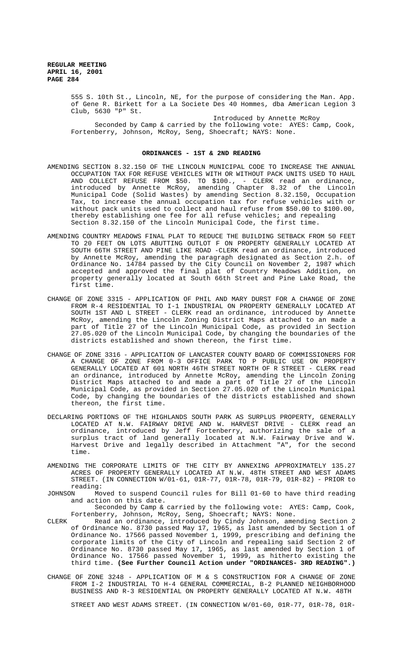> 555 S. 10th St., Lincoln, NE, for the purpose of considering the Man. App. of Gene R. Birkett for a La Societe Des 40 Hommes, dba American Legion 3 Club, 5630 "P" St.

> Introduced by Annette McRoy Seconded by Camp & carried by the following vote: AYES: Camp, Cook, Fortenberry, Johnson, McRoy, Seng, Shoecraft; NAYS: None.

# **ORDINANCES - 1ST & 2ND READING**

- AMENDING SECTION 8.32.150 OF THE LINCOLN MUNICIPAL CODE TO INCREASE THE ANNUAL OCCUPATION TAX FOR REFUSE VEHICLES WITH OR WITHOUT PACK UNITS USED TO HAUL AND COLLECT REFUSE FROM \$50. TO \$100., - CLERK read an ordinance, introduced by Annette McRoy, amending Chapter 8.32 of the Lincoln Municipal Code (Solid Wastes) by amending Section 8.32.150, Occupation Tax, to increase the annual occupation tax for refuse vehicles with or without pack units used to collect and haul refuse from \$50.00 to \$100.00, thereby establishing one fee for all refuse vehicles; and repealing Section 8.32.150 of the Lincoln Municipal Code, the first time.
- AMENDING COUNTRY MEADOWS FINAL PLAT TO REDUCE THE BUILDING SETBACK FROM 50 FEET TO 20 FEET ON LOTS ABUTTING OUTLOT F ON PROPERTY GENERALLY LOCATED AT SOUTH 66TH STREET AND PINE LIKE ROAD -CLERK read an ordinance, introduced by Annette McRoy, amending the paragraph designated as Section 2.h. of Ordinance No. 14784 passed by the City Council on November 2, 1987 which accepted and approved the final plat of Country Meadows Addition, on property generally located at South 66th Street and Pine Lake Road, the first time.
- CHANGE OF ZONE 3315 APPLICATION OF PHIL AND MARY DURST FOR A CHANGE OF ZONE FROM R-4 RESIDENTIAL TO I-1 INDUSTRIAL ON PROPERTY GENERALLY LOCATED AT SOUTH 1ST AND L STREET - CLERK read an ordinance, introduced by Annette McRoy, amending the Lincoln Zoning District Maps attached to an made a part of Title 27 of the Lincoln Municipal Code, as provided in Section 27.05.020 of the Lincoln Municipal Code, by changing the boundaries of the districts established and shown thereon, the first time.
- CHANGE OF ZONE 3316 APPLICATION OF LANCASTER COUNTY BOARD OF COMMISSIONERS FOR A CHANGE OF ZONE FROM 0-3 OFFICE PARK TO P PUBLIC USE ON PROPERTY GENERALLY LOCATED AT 601 NORTH 46TH STREET NORTH OF R STREET - CLERK read an ordinance, introduced by Annette McRoy, amending the Lincoln Zoning District Maps attached to and made a part of Title 27 of the Lincoln Municipal Code, as provided in Section 27.05.020 of the Lincoln Municipal Code, by changing the boundaries of the districts established and shown thereon, the first time.
- DECLARING PORTIONS OF THE HIGHLANDS SOUTH PARK AS SURPLUS PROPERTY, GENERALLY LOCATED AT N.W. FAIRWAY DRIVE AND W. HARVEST DRIVE - CLERK read an ordinance, introduced by Jeff Fortenberry, authorizing the sale of a surplus tract of land generally located at N.W. Fairway Drive and W. Harvest Drive and legally described in Attachment "A", for the second time.
- AMENDING THE CORPORATE LIMITS OF THE CITY BY ANNEXING APPROXIMATELY 135.27 ACRES OF PROPERTY GENERALLY LOCATED AT N.W. 48TH STREET AND WEST ADAMS STREET. (IN CONNECTION W/01-61, 01R-77, 01R-78, 01R-79, 01R-82) - PRIOR to reading:
- JOHNSON Moved to suspend Council rules for Bill 01-60 to have third reading and action on this date.

Seconded by Camp & carried by the following vote: AYES: Camp, Cook, Fortenberry, Johnson, McRoy, Seng, Shoecraft; NAYS: None.

- CLERK Read an ordinance, introduced by Cindy Johnson, amending Section 2 of Ordinance No. 8730 passed May 17, 1965, as last amended by Section 1 of Ordinance No. 17566 passed November 1, 1999, prescribing and defining the corporate limits of the City of Lincoln and repealing said Section 2 of Ordinance No. 8730 passed May 17, 1965, as last amended by Section 1 of Ordinance No. 17566 passed November 1, 1999, as hitherto existing the third time. **(See Further Council Action under "ORDINANCES- 3RD READING".)**
- CHANGE OF ZONE 3248 APPLICATION OF M & S CONSTRUCTION FOR A CHANGE OF ZONE FROM I-2 INDUSTRIAL TO H-4 GENERAL COMMERCIAL, B-2 PLANNED NEIGHBORHOOD BUSINESS AND R-3 RESIDENTIAL ON PROPERTY GENERALLY LOCATED AT N.W. 48TH

STREET AND WEST ADAMS STREET. (IN CONNECTION W/01-60, 01R-77, 01R-78, 01R-